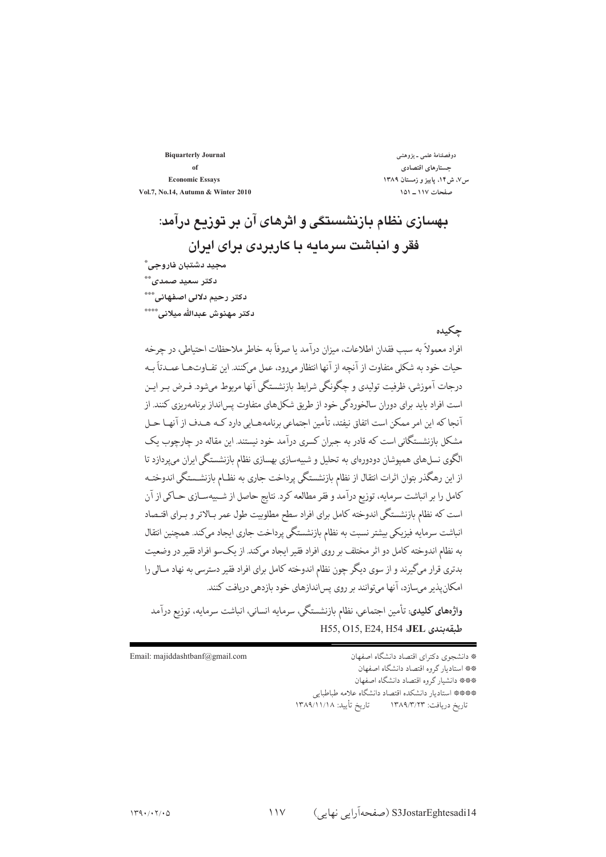**Biquarterly Journal** of **Economic Essays** Vol.7, No.14, Autumn & Winter 2010

دوفصلنامهٔ علمی ـ پژوهشی جستارهاي اقتصادي س۷، ش۱۴، پاییز و زمستان ۱۳۸۹ صفحات ١١٧ ـ ١٥١

حكىدە

# بهسازی نظام بازنشستگی و اثرهای آن بر توزیع درآمد: فقر و انتاشت سرمایه یا کارپردی برای ایران محيد دشتيان فاروحي ؓ دکتر سعید صمدی\*\* دكتر رحيم دلالي اصفهاني."\*\* دكتر مهنوش عبدالله مبلاني. \*\*\*\*

# افراد معمولاً به سبب فقدان اطلاعات، میزان درآمد یا صرفاً به خاطر ملاحظات احتیاطی، در چرخه حبات خود به شکلی متفاوت از آنچه از آنها انتظار مررود، عمل میکنند. این تفـاوتهـا عمـدتاً بـه درحات آموزشی، ظرفیت تولیدی و چگونگی شرایط پازنشستگی آنها مربوط می شود. فیرض پ راین است افراد باید برای دوران سالخوردگی خود از طریق شکلهای متفاوت پسانداز برنامهریزی کنند. از آنحا که ابن امر ممکن است اتفاق نیفتد، تأمین احتماعی برنامههــابی دارد کــه هــدف از آنهــا حــل .<br>مشکل بازنشستگانی است که قادر به حیران کسری درآمد خود نیستند. این مقاله در چارچوب یک الگوی نسلهای همیوشان دودورهای به تحلیل و شبیهسازی بهسازی نظام بازنشستگی ایران میپردازد تا از این رهگذر بتوان اثرات انتقال از نظام بازنشستگی پرداخت جاری به نظـام بازنشـستگی اندوختـه كامل را بر انباشت سرمايه، توزيع درآمد و فقر مطالعه كرد. نتايج حاصل از شــييهســازي حــاكي از آن است که نظام بازنشستگی اندوخته کامل برای افراد سطح مطلوبیت طول عمر بـالاتر و بــرای اقتــصاد .<br>انباشت سرمایه فیزیکی بیشتر نسبت به نظام بازنشستگی پرداخت جاری ایجاد میکند. همچنین انتقال به نظام اندوخته كامل دو اثر مختلف بر روى افراد فقير ايجاد مىكند. از يكسو افراد فقير در وضعيت بدتري قرار ميگيرند و از سوي ديگر چون نظام اندوخته كامل براي افراد فقير دسترسي به نهاد مـالي را امکان پذیر می سازد، آنها می توانند بر روی پس اندازهای خود بازدهی دریافت کنند.

واژههای کلیدی: تأمین اجتماعی، نظام بازنشستگی، سرمایه انسانی، انباشت سرمایه، توزیع درآمد H55, O15, E24, H54 :JEL وبقهبندى

Email: majiddashtbanf@gmail.com

\* دانشجوی دکترای اقتصاد دانشگاه اصفهان \*\* استادیار گروه اقتصاد دانشگاه اصفهان \*\*\*\* دانشیار گروه اقتصاد دانشگاه اصفهان \*\*\*\*\* استاديار دانشكده اقتصاد دانشگاه علامه طباطبايي تاريخ دريافت: ١٣٨٩/٣/٢٣ تاريخ تأييد: ١٣٨٩/١١/١٨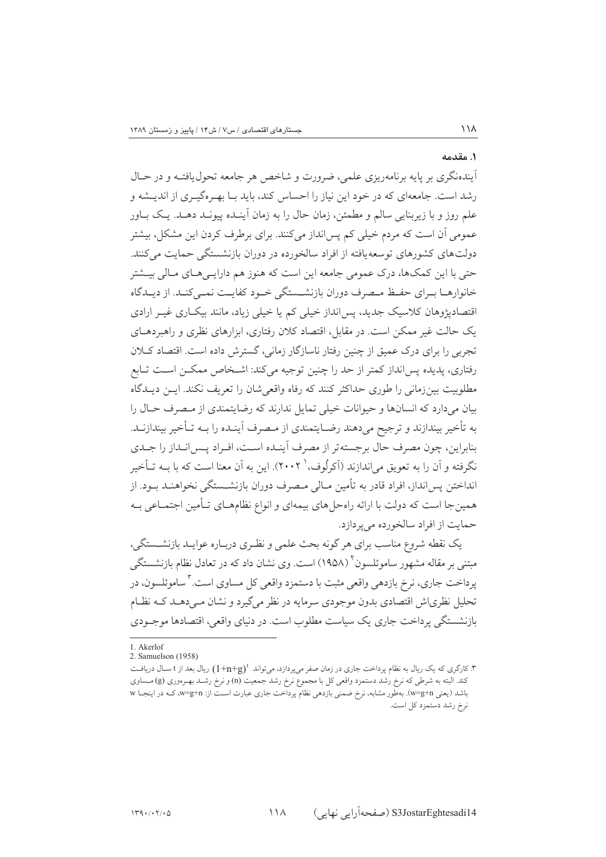#### ١. مقدمه

 $\frac{1}{4}$ 

آیندهنگری بر پایه برنامه٫یزی علمی، ضرورت و شاخص هر جامعه تحول بافتیه و در حیال رشد است. جامعهای که در خود این نیاز را احساس کند، باید بـا بهـرهگیـری از اندیــشه و علم روز و با زیربنایی سالم و مطمئن، زمان حال را به زمان آینـده پیونـد دهـد. یـک بـاور عمومی آن است که مردم خیلی کم پس انداز می کنند. برای برطرف کردن این مشکل، بیشتر دولتهای کشورهای توسعه یافته از افراد سالخورده در دوران بازنشستگی حمایت می کنند. حتی با این کمکها، درک عمومی جامعه این است که هنوز هم دارایــیهــای مــالی بیــشتر خانوارهــا بــراي حفــظ مــصرف دوران بازنشــستگي خــود كفايــت نمــي كنــد. از ديــدگاه اقتصادپژوهان کلاسیک جدید، پسانداز خیلی کم یا خیلی زیاد، مانند بیک اری غیـر ارادی یک حالت غیر ممکن است. در مقابل، اقتصاد کلان رفتاری، ابزارهای نظری و راهبردهــای تجربی را برای درک عمیق از چنین رفتار ناسازگار زمانی، گسترش داده است. اقتصاد کبلان رفتاری، پدیده پسانداز کمتر از حد را چنین توجیه میکند: اشـخاص ممکـن اسـت تـابع مطلوبیت بینزمانی را طوری حداکثر کنند که رفاه واقعی شان را تعریف نکند. ایــن دیــدگاه بیان می دارد که انسانها و جیوانات خیلی تمایل ندارند که رضایتمندی از مبصرف حیال را به تأخير بيندازند و ترجيح ميدهند رضـايتمندي از مـصرف اَينـده را بــه تـأخير بيندازنــد. بنابراین، چون مصرف حال برجستهتر از مصرف آینـده اسـت، افـراد پـس|نـداز را جـدی نگرفته و آن را به تعویق می|ندازند (آکرلُوف،` ۲۰۰۲). این به آن معنا است که با بــه تــأخیر انداختن پس انداز، افراد قادر به تأمین مــالی مــصرف دوران بازنشــستگی نخواهنــد بــود. از همینجا است که دولت با ارائه راهحل های بیمهای و انواع نظامهـای تـأمین اجتمـاعی بـه حمایت از افراد سالخورده می بردازد.

یک نقطه شروع مناسب برای هر گونه بحث علمی و نظـری دربـاره عوایـد بازنشــستگی، مبتنی بر مقاله مشهور ساموئلسون<sup>۲</sup> (۱۹۵۸) است. وی نشان داد که در تعادل نظام بازنشستگی پرداخت جاري، نرخ بازدهي واقعي مثبت با دستمزد واقعي كل مساوي است. "ساموئلسون، در تحلیل نظری اش اقتصادی بدون موجودی سرمایه در نظر می گیرد و نشان مے دھــد کــه نظــام بازنشستگی پرداخت جاری یک سیاست مطلوب است. در دنیای واقعی، اقتصادها موجـودی

<sup>1.</sup> Akerlof

<sup>2.</sup> Samuelson (1958)

۳. کارگری که یک ریال به نظام پرداخت جاری در زمان صفر میپردازد، میتواند  $(1+ n+g)$  ریال بعد از t سـال دریافـت کند. البته به شرطی که نرخ رشد دستمزد واقعی کل با مجموع نرخ رشد جمعیت (n) و نرخ رشـد بهـرهوری (g) مــساوی باشد (يعني w=g+n). بهطور مشابه، نرخ ضمني بازدهي نظام پرداخت جاري عبارت است از: w=g+n، كـه در اينجـا w نرخ رشد دستمزد کل است.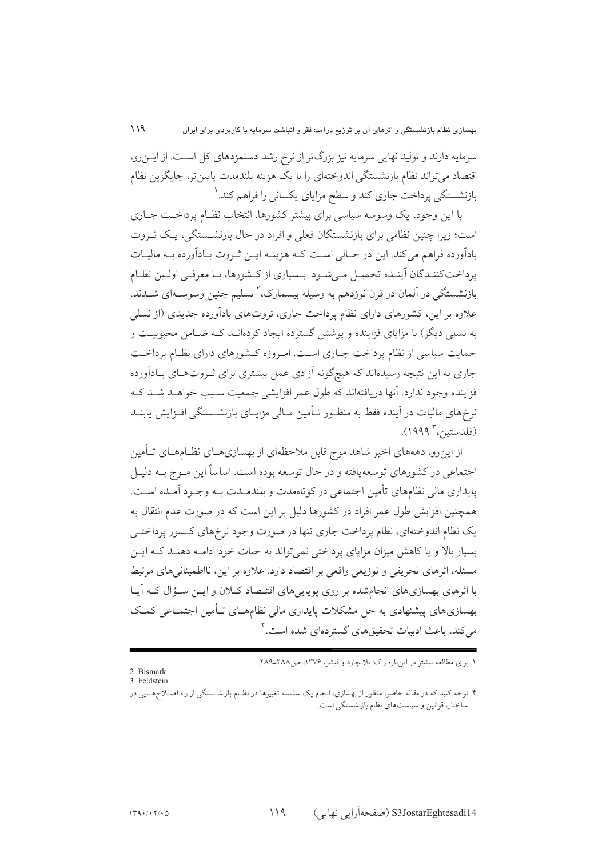سرمایه دارند و تولید نهایی سرمایه نیز بزرگتر از نرخ رشد دستمزدهای کل است. از ایسزرو، اقتصاد میتواند نظام بازنشستگی اندوختهای را با یک هزینه بلندمدت پایینتر، جایگزین نظام بازنشستگی پرداخت جاری کند و سطح مزایای یکسانی را فراهم کند. ٰ

با این وجود، یک وسوسه سیاسی برای بیشتر کشورها، انتخاب نظـام پرداخـت جـاری است؛ زیرا چنین نظامی برای بازنشستگان فعلی و افراد در حال بازنشستگی، یک ثـروت بادأورده فراهم میکند. این در حـالی اسـت کـه هزینـه ایـن ثـروت بـادأورده بـه ماليـات یرداخت کننـدگان آینـده تحمیـل مـه شـود. پـساری از کـشورها، بـا معرفـه اولـین نظـام بازنشستگی در اَلمان در قرن نوزدهم به وسیله بیسمارک، ٔ تسلیم چنین وسوسـهای شــدند. علاوه بر این، کشورهای دارای نظام پرداخت جاری، ثروتهای بادآورده جدیدی (از نسلی به نسلمی دیگر) با مزایای فزاینده و یوشش گسترده ایجاد کردهانــد کــه ضــامن محبوبیــت و حمایت سیاسی از نظام پرداخت جـاری اسـت. امـروزه کـشورهای دارای نظـام پرداخـت جاری به این نتیجه رسیدهاند که هیچگونه آزادی عمل بیشتری برای ثـروتهـای بـادآورده فزاینده وجود ندارد. آنها دریافتهاند که طول عمر افزایشی جمعیت سـبب خواهـد شـد کـه نرخهای مالیات در اینده فقط به منظـور تـأمین مـالی مزایـای بازنشــستگی افـزایش یابنــد (فلدستين<sup>7</sup> ١٩٩٩).

از این رو، دهههای اخیر شاهد موج قابل ملاحظهای از بهسازیهــای نظــامهــای تــأمین اجتماعی در کشورهای توسعهیافته و در حال توسعه بوده است. اساساً این مـوج بــه دلیـل پایداری مالی نظامهای تأمین اجتماعی در کوتاهمدت و بلندمــدت بــه وجــود آمــده اســت. همچنین افزایش طول عمر افراد در کشورها دلیل بر این است که در صورت عدم انتقال به یک نظام اندوختهای، نظام پرداخت جاری تنها در صورت وجود نرخهای کـسور پرداختـی بسیار بالا و یا کاهش میزان مزایای پرداختی نمی تواند به حیات خود ادامیه دهنید کیه این مسئله، اثرهای تحریفی و توزیعی واقعی بر اقتصاد دارد. علاوه بر این، نااطمینانی های مرتبط با اثرهای بهسازیهای انجامشده بر روی پویاییهای اقتـصاد کـلان و ایــز سـؤال کـه آیـا بهسازیهای پیشنهادی به حل مشکلات پایداری مالی نظامهـای تـأمین اجتمـاعی کمـک می کند، باعث ادبیات تحقیقهای گستردهای شده است.

١. برای مطالعه بیشتر در اینباره ر.ک: بلانچارد و فیشر، ١٣٧۶، ص ٢٨٨-٢٨٩.

<sup>2.</sup> Bismark 3. Feldstein

<sup>.&</sup>lt;br>۴. توجه کنید که در مقاله حاضر، منظور از بهسازي، انجام یک سلسله تغییرها در نظـام بازنشــستگي از راه اصــلاحهــایي در ساختار، قوانین و سیاستهای نظام بازنشستگی است.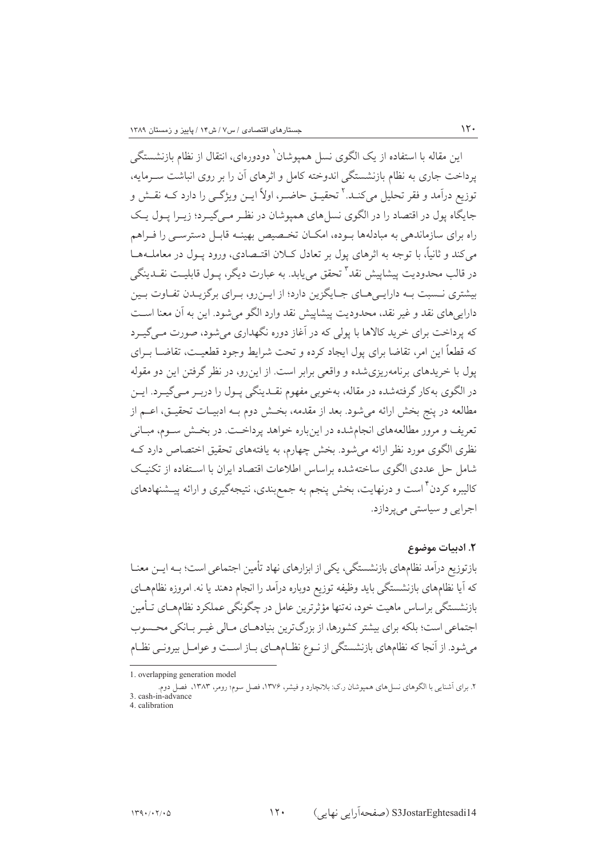این مقاله با استفاده از یک الگوی نسل همیوشان<sup>\</sup> دودورهای، انتقال از نظام بازنشستگی یرداخت جاری به نظام بازنشستگی اندوخته کامل و اثرهای آن را بر روی انباشت سـرمایه، توزيع درآمد و فقر تحليل مي كنــد.<sup>٢</sup> تحقيــق حاضــر، اولاً ايــن ويژگــي را دارد كــه نقــش و جایگاه پول در اقتصاد را در الگوی نسلهای همپوشان در نظر مـیگیـرد؛ زیـرا پـول یـک راه برای سازماندهی به مبادلهها بوده، امکـان تخـصیص بهینـه قابـل دسترسـی را فـراهم مي كند و ثانياً، يا توجه به اثرهاي بول بر تعادل كبلان اقتبصادي، ورود پـول در معاملـههـا در قالب محدودیت پیشاپیش نقد<sup>۳</sup> تحقق می باید. به عبارت دیگر، پیول قابلیـت نقــدینگی بیشتری نـسبت بـه دارایـیهـای جـایگزین دارد؛ از ایــنرو، بـرای برگزیـدن تفـاوت بـین دارایههای نقد و غیر نقد، محدودیت پیشاپیش نقد وارد الگو میشود. این به آن معنا است که پرداخت برای خرید کالاها با یولی که در آغاز دوره نگهداری می شود، صورت مے گیے د که قطعاً این امر، تقاضا برای پول ایجاد کرده و تحت شرایط وجود قطعیت، تقاضیا بیرای یول با خریدهای برنامهریزی شده و واقعی برابر است. از این رو، در نظر گرفتن این دو مقوله در الگوی بهکار گرفتهشده در مقاله، بهخوبی مفهوم نقـدینگی پـول را دربـر مـیگیـرد. ایـن مطالعه در ينج بخش ارائه مي شود. بعد از مقدمه، بخـش دوم بــه ادبيــات تحقيــق، اعــم از تعریف و مرور مطالعههای انجامشده در اینباره خواهد پرداخـت. در بخـش سـوم، مبـانی نظری الگوی مورد نظر ارائه می شود. بخش چهارم، به یافتههای تحقیق اختصاص دارد ک شامل حل عددی الگوی ساختهشده براساس اطلاعات اقتصاد ایران با استفاده از تکنیک کالیبره کردن ٔ است و درنهایت، بخش پنجم به جمع بندی، نتیجهگیری و ارائه پیــشنهادهای اجرایي و سياستې مې پردازد.

#### ٢. اديبات موضوع

 $\mathcal{N}$ 

بازتوزیع درآمد نظامهای بازنشستگی، یکی از ابزارهای نهاد تأمین اجتماعی است؛ بـه ایــن معنــا که آیا نظامهای بازنشستگی باید وظیفه توزیع دوباره درآمد را انجام دهند یا نه. امروزه نظامهــای بازنشستگی پراساس ماهیت خود، نەتنھا مؤثرترین عامل در چگونگی عملکرد نظامهــای تــأمین اجتماعی است؛ بلکه برای بیشتر کشورها، از بزرگترین بنیادهـای مـالی غیـر بـانکی محـسوب می شود. از آنجا که نظامهای بازنشستگی از نـوع نظـامهــای بــاز اســت و عوامــل بیرونــی نظــام

<sup>1.</sup> overlapping generation model

۲. برای آشنایی با الگوهای نسل های همپوشان ر.ک: بلانچارد و فیشر، ۱۳۷۶، فصل سوم؛ رومر، ۱۳۸۳، فصل دو 3. cash-in-advance 4. calibration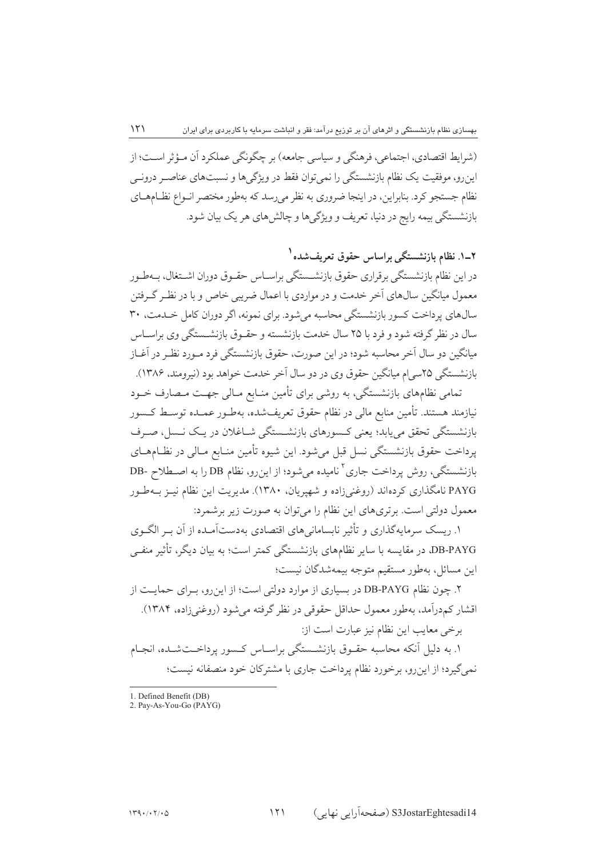(شرايط اقتصادي، اجتماعي، فرهنگي و سياسي جامعه) بر چگونگي عملكرد آن مـؤثر اسـت؛ از اینرو، موفقیت یک نظام بازنشستگی را نمی توان فقط در ویژگیها و نسبتهای عناصـر درونــی نظام جستجو کرد. بنابراین، در اینجا ضروری به نظر میرسد که بهطور مختصر انـواع نظـامهـای بازنشستگی بیمه رایج در دنیا، تعریف و ویژگی ها و چالش های هر یک بیان شود.

۲ـ۱. نظام بازنشستگی براساس حقوق تعریفشده<sup>۱</sup> در این نظام بازنشستگی برقراری حقوق بازنشــستگی براســاس حقــوق دوران اشــتغال، بــهطــور معمول میانگین سال@ای آخر خدمت و در مواردی با اعمال ضریبی خاص و با در نظـر گـرفتن سالهای پرداخت کسور بازنشستگی محاسبه میشود. برای نمونه، اگر دوران کامل خـدمت، ۳۰ سال در نظر گرفته شود و فرد با ۲۵ سال خدمت بازنشسته و حقــوق بازنشــستگی وی براســاس میانگین دو سال آخر محاسبه شود؛ در این صورت، حقوق بازنشستگی فرد مـورد نظـر در آغــاز بازنشستگی ۲۵سے اِم مبانگین حقوق وی در دو سال اَخر خدمت خواهد بود (نیرومند، ۱۳۸۶).

تمامی نظامهای بازنشستگی، به روشی برای تأمین منـابع مـالی جهـت مـصارف خـود نیازمند هستند. تأمین منابع مالی در نظام حقوق تعریفشده، بهطـور عمـده توسـط کـسور بازنشستگی تحقق می یابد؛ یعنی کسورهای بازنشستگی شــاغلان در یـک نــسل، صـرف يرداخت حقوق بازنشستگي نسل قبل مي شود. اين شيوه تأمين منـابع مـالي در نظـامهـاي بازنشستگی، روش پرداخت جاری <sup>۲</sup> نامیده میشود؛ از اینرو، نظام DB را به اصطلاح -DB PAYG نامگذاری کردهاند (روغنیزاده و شهپریان، ۱۳۸۰). مدیریت این نظام نیـز بـهطـور معمول دولتی است. برتریهای این نظام را می توان به صورت زیر برشمرد:

۱. ریسک سرمایهگذاری و تأثیر نابسامانیهای اقتصادی بهدستآمـده از آن بـر الگـوی DB-PAYG، در مقایسه با سایر نظامهای بازنشستگی کمتر است؛ به بیان دیگر، تأثیر منفــی اين مسائل، بەطور مستقيم متوجه بيمەشدگان نيست؛

۲. چون نظام DB-PAYG در بسیاری از موارد دولتی است؛ از این رو، بـرای حمایـت از اقشار کمدرآمد، بهطور معمول حداقل حقوقی در نظر گرفته میشود (روغنیزاده، ۱۳۸۴). برخی معایب این نظام نیز عبارت است از:

١. به دلیل آنکه محاسبه حقـوق بازنشـستگی براسـاس کـسور پرداخـتشـده، انجـام نمی گیرد؛ از این رو، برخورد نظام پرداخت جاری با مشترکان خود منصفانه نیست؛

<sup>1.</sup> Defined Benefit (DB)

<sup>2.</sup> Pay-As-You-Go (PAYG)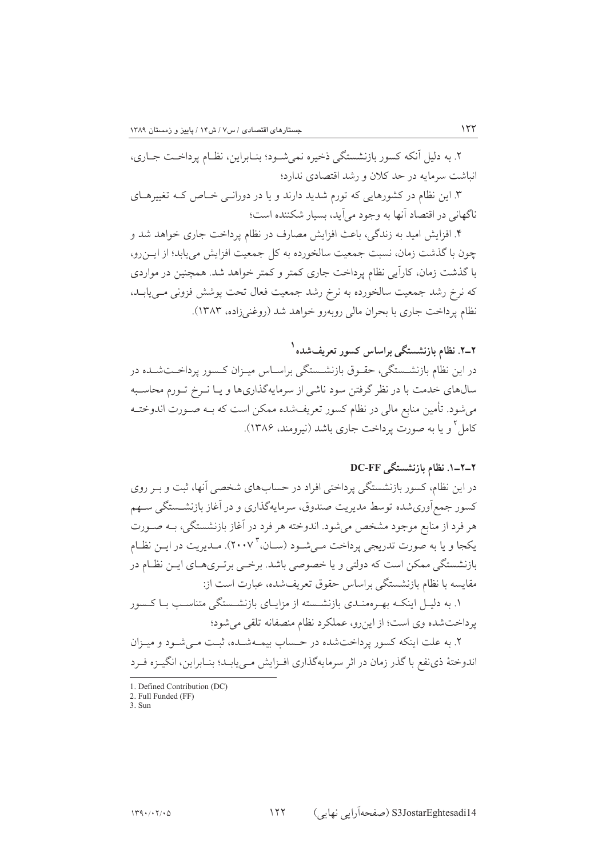۲. به دلیل آنکه کسور بازنشستگی ذخیره نمیشـود؛ بنـابراین، نظـام پرداخــت جــاری، انباشت سرمایه در حد کلان و رشد اقتصادی ندارد؛

۳. این نظام در کشورهایی که تورم شدید دارند و یا در دورانبی خـاص کـه تغییرهــای ناگهانی در اقتصاد آنها به وجود می آید، بسیار شکننده است؛

۴. افزایش امید به زندگی، باعث افزایش مصارف در نظام پرداخت جاری خواهد شد و چون با گذشت زمان، نسبت جمعیت سالخورده به کل جمعیت افزایش می یابد؛ از ایـن رو، با گذشت زمان، کاراًیی نظام پرداخت جاری کمتر و کمتر خواهد شد. همچنین در مواردی که نرخ رشد جمعیت سالخورده به نرخ رشد جمعیت فعال تحت پوشش فزونی مـییابـد، نظام يرداخت جاري با بحران مالي روبهرو خواهد شد (روغني زاده، ١٣٨٣).

# ۲ـ۲. نظام بازنشستگی براساس کسور تعریفشده<sup>۱</sup>

در این نظام بازنشــستگی، حقــوق بازنشــستگی براســاس میــزان کــسور پرداخــتشــده در سالهای خدمت با در نظر گرفتن سود ناشی از سرمایهگذاریها و یـا نــرخ تــورم محاسـبه میشود. تأمین منابع مالی در نظام کسور تعریفشده ممکن است که بـه صـورت اندوختـه کامل و یا به صورت پرداخت جاری باشد (نیرومند، ۱۳۸۶).

## ۲\_۲\_۱. نظام بازنشستگی DC-FF

در این نظام، کسور بازنشستگی پرداختی افراد در حسابهای شخصی آنها، ثبت و بـر روی كسور جمع آوري شده توسط مديريت صندوق، سرمايهگذاري و در آغاز بازنشـستگي سـهم هر فرد از منابع موجود مشخص میشود. اندوخته هر فرد در آغاز بازنشستگی، بــه صــورت یکجا و یا به صورت تدریجی پرداخت مـیشـود (سـان، ۲۰۰۷). مـدیریت در ایـن نظـام بازنشستگی ممکن است که دولتی و یا خصوصی باشد. برخـی برتـریهـای ایــن نظـام در مقايسه با نظام بازنشستگي براساس حقوق تعريفشده، عبارت است از:

۱. به دلیل اینکـه بهـرهمنـدی بازنشـسته از مزایـای بازنشـستگی متناسـب بـا کـسور يرداختشده وي است؛ از اين رو، عملكرد نظام منصفانه تلقى مى شود؛

۲. به علت اینکه کسور پرداختشده در حساب بیمـهشـده، ثبـت مـی شـود و میـزان اندوختهٔ ذي نفع با گذر زمان در اثر سرمايهگذاري افـزايش مـييابـد؛ بنـابراين، انگيـزه فـرد

 $3.$  Sun

<sup>1.</sup> Defined Contribution (DC)

<sup>2.</sup> Full Funded (FF)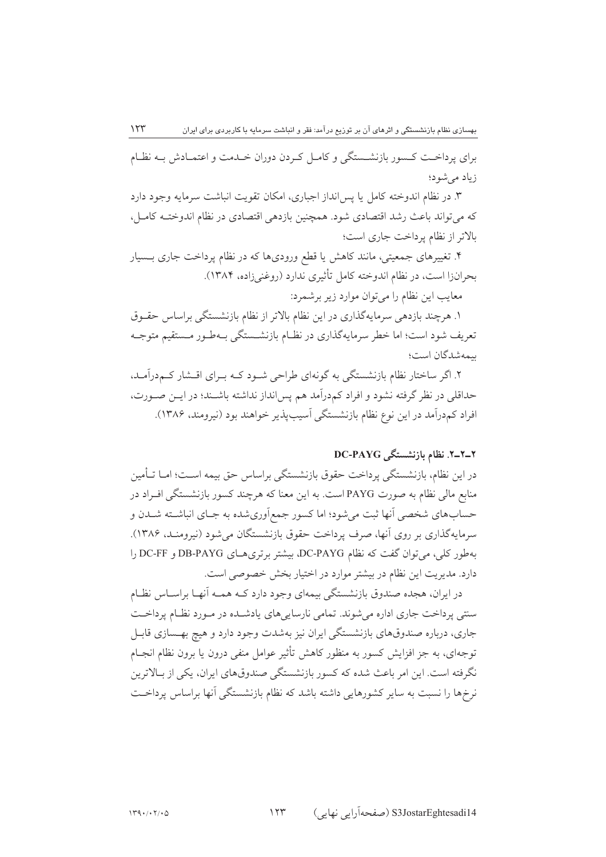$\gamma \gamma \gamma$ بهسازی نظام بازنشستگی و اثرهای آن بر توزیع درآمد: فقر و انباشت سرمایه با کاربردی برای ایران برای پرداخت کـسور بازنشــستگی و کامـل کـردن دوران خـدمت و اعتمـادش بـه نظـام زیاد مے شود؛

۳. در نظام اندوخته کامل یا پس!نداز اجباری، امکان تقویت انباشت سرمایه وجود دارد که می تواند باعث رشد اقتصادی شود. همچنین بازدهی اقتصادی در نظام اندوختـه کامـل، بالاتر از نظام برداخت جاری است؛

۴. تغییرهای جمعیتی، مانند کاهش یا قطع ورودیها که در نظام پرداخت جاری بـسیار بحرانزا است، در نظام اندوخته كامل تأثيري ندارد (روغني زاده، ١٣٨۴).

معايب اين نظام را مي توان موارد زير برشمرد:

۱. هرچند بازدهی سرمایهگذاری در این نظام بالاتر از نظام بازنشستگی براساس حقـوق تعریف شود است؛ اما خطر سرمایهگذاری در نظـام بازنشـستگی بـهطـور مـستقیم متوجـه يىمەشدگان است؛

۲. اگر ساختار نظام بازنشستگی به گونهای طراحی شـود کـه بـرای اقـشار کـم‹راَمـد، حداقلی در نظر گرفته نشود و افراد کمدرآمد هم پس انداز نداشته باشـند؛ در ایـن صـورت، افراد کمدرآمد در این نوع نظام بازنشستگی آسیبپذیر خواهند بود (نیرومند، ۱۳۸۶).

## ۲\_۲\_۲. نظام بازنشستگی DC-PAYG

در این نظام، بازنشستگی پرداخت حقوق بازنشستگی براساس حق بیمه اسـت؛ امــا تــأمین منابع مالی نظام به صورت PAYG است. به این معنا که هرچند کسور بازنشستگی افـراد در حسابهاي شخصي آنها ثبت مي شود؛ اما كسور جمع اَوري شده به جـاي انباشــته شــدن و سرمايهگذاري بر روي أنها، صرف پرداخت حقوق بازنشستگان مي شود (نيرومنـد، ۱۳۸۶). بهطور كلي، مي توان گفت كه نظام DC-PAYG، بيشتر برتري هـاي DB-PAYG و DC-FF را دارد. مديريت اين نظام در بيشتر موارد در اختيار بخش خصوصي است.

در ایران، هجده صندوق بازنشستگی بیمهای وجود دارد کـه همـه آنهـا براسـاس نظـام سنتی پرداخت جاری اداره می شوند. تمامی نارسایی های یادشـده در مـورد نظـام پرداخـت جاری، درباره صندوقهای بازنشستگی ایران نیز بهشدت وجود دارد و هیچ بهـسازی قابـل توجهای، به جز افزایش کسور به منظور کاهش تأثیر عوامل منفی درون یا برون نظام انجـام نگرفته است. این امر باعث شده که کسور بازنشستگی صندوقهای ایران، یکی از بـالاترین نرخها را نسبت به سایر کشورهایی داشته باشد که نظام بازنشستگی آنها براساس پرداخـت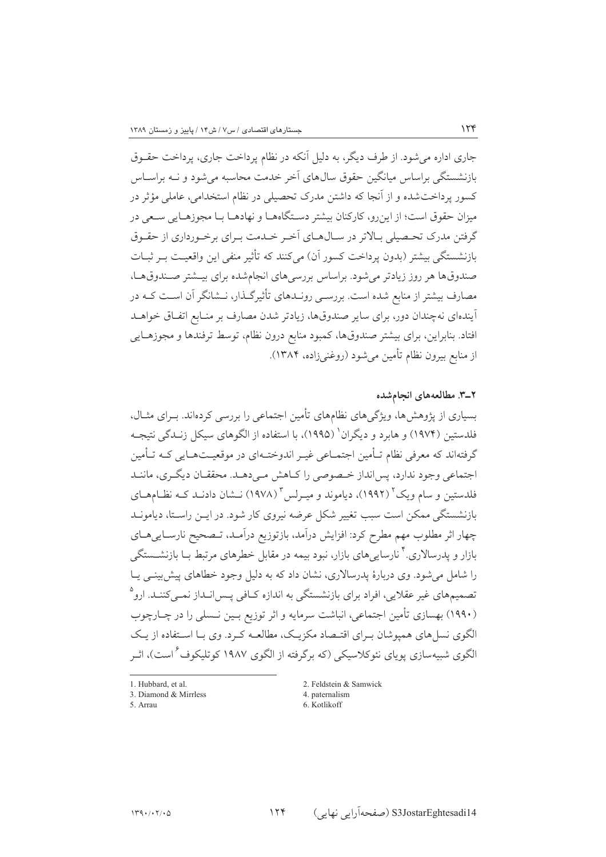جاری اداره می شود. از طرف دیگر، به دلیل آنکه در نظام پرداخت جاری، پرداخت حقــوق بازنشستگی براساس میانگین حقوق سالهای آخر خدمت محاسبه می شود و نــه براســاس ۔<br>کسور پرداختشدہ و از آنجا که داشتن مدرک تحصیلی در نظام استخدامی، عامل<sub>ی</sub> مؤثر در میزان حقوق است؛ از این رو، کارکنان بیشتر دسـتگاههــا و نهادهــا بــا مجوزهــایی ســعی در گرفتن مدرک تحصیلی بـالاتر در سـال۱هـای آخـر خـدمت بـرای برخـورداری از حقـوق بازنشستگی بیشتر (بدون پرداخت کسور آن) میکنند که تأثیر منفی این واقعیت بـر ثبـات صندوقها هر روز زیادتر می شود. براساس بررسی های انجام شده برای بیــشتر صــندوقهــا، مصارف بیشتر از منابع شده است. بررسـی رونـدهای تأثیرگـذار، نـشانگر آن اسـت کـه در آیندهای نهچندان دور، برای سایر صندوقها، زیادتر شدن مصارف بر منـابع اتفـاق خواهــد افتاد. بنابراین، برای بیشتر صندوقها، کمبود منابع درون نظام، توسط ترفندها و مجوزهـایی از منابع بيرون نظام تأمين مي شود (روغني(ده، ١٣٨۴).

#### ٢\_٣. مطالعههای انجامشده

بسیاری از پژوهش ها، ویژگیهای نظامهای تأمین اجتماعی را بررسی کردهاند. بـرای مثـال، فلدستین (۱۹۷۴) و هابرد و دیگران' (۱۹۹۵)، با استفاده از الگوهای سیکل زنــدگی نتیجــه گرفتهاند که معرفی نظام تـأمین اجتمـاعی غیـر اندوختـهای در موقعیـتهـایی کـه تـأمین اجتماعي وجود ندارد، پس انداز خـصوصي را كــاهش مــي دهــد. محققــان ديگــري، ماننــد فلدستین و سام ویک<sup>۲</sup> (۱۹۹۲)، دیاموند و میـرلس<sup>۳</sup> (۱۹۷۸) نــشان دادنــد کــه نظــامهــای بازنشستگی ممکن است سبب تغییر شکل عرضه نیروی کار شود. در ایــن راسـتا، دیامونــد چهار اثر مطلوب مهم مطرح كرد: افزايش درآمد، بازتوزيع درآمـد، تـصحيح نارسـاييهـاي بازار و پدرسالاری. ٔ نارساییهای بازار، نبود بیمه در مقابل خطرهای مرتبط بـا بازنشــستگی را شامل می شود. وی دربارهٔ پدرسالاری، نشان داد که به دلیل وجود خطاهای پیش بینبی پیا ۔<br>تصمیمهای غیر عقلایی، افراد برای بازنشستگی به اندازه کــافی پــس|نــداز نمــیکننــد. ارو<sup>۹</sup> (۱۹۹۰) بهسازی تأمین اجتماعی، انباشت سرمایه و اثر توزیع بـین نـسلی را در چـارچوب الگوی نسل های همپوشان بهرای اقتـصاد مکزیـک، مطالعـه کـرد. وی بـا اسـتفاده از یـک الگوی شبیهسازی یوپای نئوکلاسیکی (که برگرفته از الگوی ۱۹۸۷ کوتلیکوف<sup>۶</sup>است)، اثـر

1. Hubbard, et al.

<sup>3.</sup> Diamond & Mirrless

<sup>5.</sup> Arrau

<sup>2.</sup> Feldstein & Samwick 4. paternalism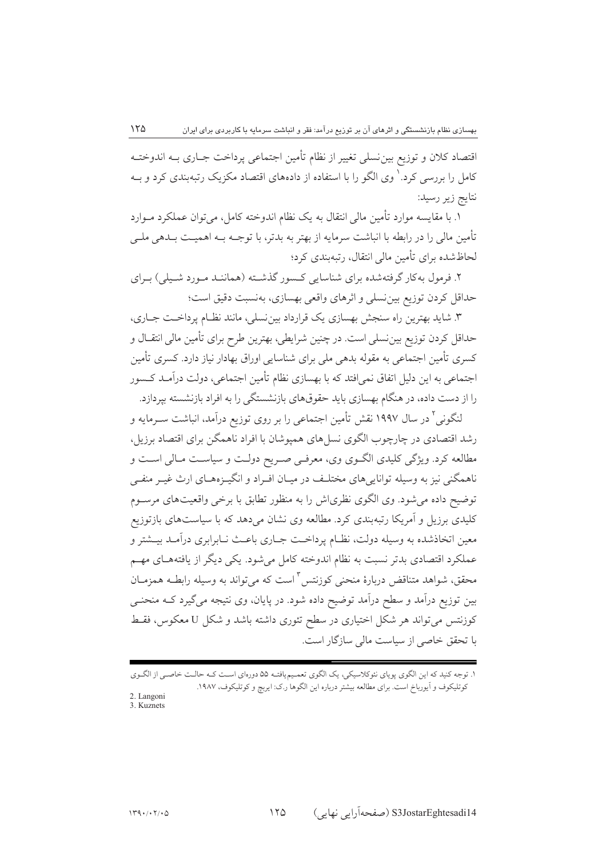اقتصاد كلان و توزيع بين نسلي تغيير از نظام تأمين اجتماعي يرداخت جــاري بــه اندوختــه کامل را بررسی کرد.` وی الگو را با استفاده از دادههای اقتصاد مکزیک رتبهبندی کرد و بــه نتايج زير رسيد:

١. با مقايسه موارد تأمين مالي انتقال به يک نظام اندوخته کامل، مي توان عملکرد مــوارد تأمین مالی را در رابطه با انباشت سرمایه از بهتر به بدتر، با توجــه بــه اهـمیــت بــدهی ملــی لحاظشده برای تأمین مالی انتقال، رتبهبندی کرد؛

۲. فرمول به کار گرفتهشده برای شناسایی کـسور گذشــته (هماننــد مـورد شــیلی) بـرای حداقل كردن توزيع بين نسلي و اثرهاي واقعي بهسازي، بهنسبت دقيق است؛

۳. شاید بهترین راه سنجش بهسازی یک قرارداد بین نسلی، مانند نظـام پرداخـت جــاری، حداقل كردن توزيع بين نسلي است. در چنين شرايطي، بهترين طرح براي تأمين مالي انتقــال و کسری تأمین اجتماعی به مقوله بدهی ملی برای شناسایی اوراق بهادار نیاز دارد. کسری تأمین اجتماعی به این دلیل اتفاق نمی|فتد که با بهسازی نظام تأمین اجتماعی، دولت درآمـد کـسور را از دست داده، در هنگام بهسازی باید حقوقهای بازنشستگی را به افراد بازنشسته بپردازد.

لنگونی<sup>۲</sup> در سال ۱۹۹۷ نقش تأمین اجتماعی را بر روی توزیع درآمد، انباشت سـرمایه و رشد اقتصادی در چارچوب الگوی نسل های همیوشان با افراد ناهمگن برای اقتصاد برزیل، مطالعه کرد. ویژگی کلیدی الگوی وی، معرفی صریح دولت و سیاست مـالی اسـت و ناهمگنی نیز به وسیله توانایی های مختلـف در میـان افـراد و انگیـزههـای ارث غیـر منفـی توضیح داده می شود. وی الگوی نظری اش را به منظور تطابق با برخی واقعیتهای مرسـوم کلیدی برزیل و آمریکا رتبهبندی کرد. مطالعه وی نشان میدهد که با سیاستهای بازتوزیع معین اتخاذشده به وسیله دولت، نظـام پرداخــت جــاری باعــث نــابرابری درآمــد بیــشتر و عملکرد اقتصادی بدتر نسبت به نظام اندوخته کامل می شود. یکی دیگر از یافتههـای مهــم محقق، شواهد متناقض دربارهٔ منحنی کوزنتس آ است که میتواند به وسیله رابطـه همزمـان بین توزیع درآمد و سطح درآمد توضیح داده شود. در پایان، وی نتیجه میگیرد کــه منحنــی کوزنتس می تواند هر شکل اختیاری در سطح تئوری داشته باشد و شکل U معکوس، فقـط با تحقق خاصی از سیاست مالی سازگار است.

۱. توجه کنید که این الگوی پویای نئوکلاسیکی، یک الگوی تعمیمیافتـه ۵۵ دورهای اسـت کـه حالـت خاصـی از الگـوی كوتليكوف و آيورباخ است. براي مطالعه بيشتر درباره اين الگوها ر.ك: ايربج و كوتليكوف، ١٩٨٧.

<sup>2.</sup> Langoni 3. Kuznets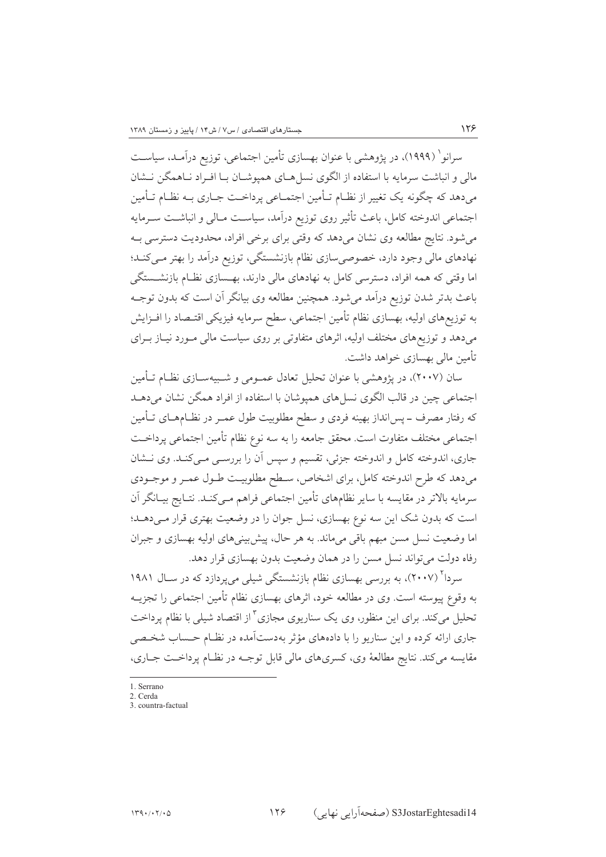سرانو` (۱۹۹۹)، در یژوهشی با عنوان بهسازی تأمین اجتماعی، توزیع درآمـد، سیاسـت مالی و انباشت سرمایه با استفاده از الگوی نسا هـای همپوشـان بـا افـراد نـاهمگن نـشان میدهد که چگونه یک تغییر از نظـام تـأمین اجتمـاعی پرداخـت جـاری بـه نظـام تـأمین اجتماعي اندوخته كامل، باعث تأثير روى توزيع درآمد، سياست مـالي و انباشــت ســرمايه می شود. نتایج مطالعه وی نشان میدهد که وقتی برای برخی افراد، محدودیت دسترسی بـه نهادهای مالی وجود دارد، خصوصی سازی نظام بازنشستگی، توزیع درآمد را بهتر میکند؛ اما وقتی که همه افراد، دسترسی کامل به نهادهای مالی دارند، بهـسازی نظـام بازنشــستگی باعث بدتر شدن توزیع درآمد میشود. همچنین مطالعه وی بیانگر آن است که بدون توجـه به توزیعهای اولیه، بهسازی نظام تأمین اجتماعی، سطح سرمایه فیزیکی اقتـصاد را افــزایش میدهد و توزیعهای مختلف اولیه، اثرهای متفاوتی بر روی سیاست مالی مـورد نیــاز بــرای تأمین مالی بهسازی خواهد داشت.

 $155$ 

سان (۲۰۰۷)، در پژوهشی با عنوان تحلیل تعادل عمـومی و شـبیهسـازی نظـام تـأمین اجتماعی چین در قالب الگوی نسل های همپوشان با استفاده از افراد همگن نشان می دهـد که رفتار مصرف ــ پس|نداز بهینه فردی و سطح مطلوبیت طول عمــر در نظــامهــای تــأمین اجتماعي مختلف متفاوت است. محقق جامعه را به سه نوع نظام تأمين اجتماعي پرداخـت جاري، اندوخته كامل و اندوخته جزئي، تقسيم و سيس أن را بررســي مــي كنــد. وي نــشان میدهد که طرح اندوخته کامل، برای اشخاص، سطح مطلوبیت طـول عمـر و موجـودی سرمایه بالاتر در مقایسه با سایر نظامهای تأمین اجتماعی فراهم مـی کنـد. نتـایج بیـانگر آن است که بدون شک این سه نوع بهسازی، نسل جوان را در وضعیت بهتری قرار مـیدهــد؛ اما وضعیت نسل مسن مبهم باقی می،ماند. به هر حال، پیش بینی های اولیه بهسازی و جبران رفاه دولت مي تواند نسل مسن را در همان وضعيت بدون بهسازي قرار دهد.

سردا<sup>۲</sup> (۲۰۰۷)، به بررسی بهسازی نظام بازنشستگی شیلی میپردازد که در سـال ۱۹۸۱ به وقوع پیوسته است. وی در مطالعه خود، اثرهای بهسازی نظام تأمین اجتماعی را تجزیــه تحلیل میکند. برای این منظور، وی یک سناریوی مجازی <sup>۳</sup> از اقتصاد شیلی با نظام پرداخت جاری ارائه کرده و این سناریو را با دادههای مؤثر بهدستآمده در نظـام حـساب شخـصی مقایسه میکند. نتایج مطالعهٔ وی، کسریهای مالی قابل توجـه در نظـام پرداخـت جـاری،

 $1$  Serrano

<sup>2.</sup> Cerda

<sup>3.</sup> countra-factual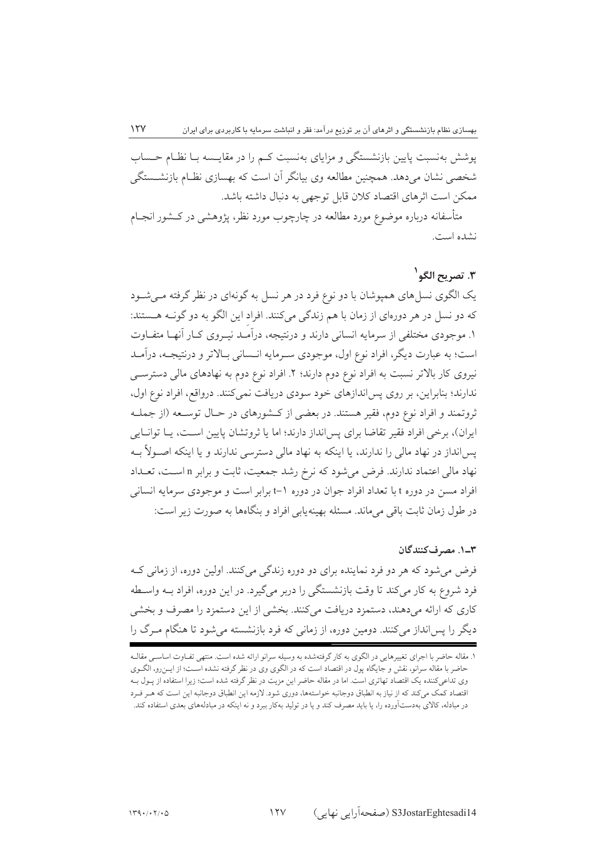یوشش بهنسبت پایین بازنشستگی و مزایای بهنسبت کـم را در مقایـسه بـا نظـام حـساب شخصی نشان میدهد. همچنین مطالعه وی بیانگر آن است که بهسازی نظـام بازنشــستگی ممكن است اثرهاي اقتصاد كلان قابل توجهي به دنبال داشته باشد.

متأسفانه درباره موضوع مورد مطالعه در چارچوب مورد نظر، یژوهشی در کــشور انجــام نشده است.

## ٣. تصر بح الگو<sup>\</sup>

یک الگوی نسل های همیوشان با دو نوع فرد در هر نسل به گونهای در نظر گرفته مے شـود که دو نسل در هر دورهای از زمان با هم زندگی میکنند. افراد این الگو به دو گونـه هـستند: ۱. موجودی مختلفی از سرمایه انسانی دارند و درنتیجه، درآمـد نیــروی کــار آنهــا متفــاوت است؛ به عبارت دیگر، افراد نوع اول، موجودی سـرمایه انـسانی بـالاتر و درنتیجـه، درآمـد نیروی کار بالاتر نسبت به افراد نوع دوم دارند؛ ۲. افراد نوع دوم به نهادهای مالی دسترسبی ندارند؛ بنابراین، بر روی پس اندازهای خود سودی دریافت نمی کنند. درواقع، افراد نوع اول، ثروتمند و افراد نوع دوم، فقیر هستند. در بعضی از کشورهای در حـال توسـعه (از جملـه ایران)، برخی افراد فقیر تقاضا برای پس انداز دارند؛ اما یا ثروتشان پایین اسـت، پـا توانـایی یس انداز در نهاد مالی را ندارند، یا اینکه به نهاد مالی دسترسی ندارند و یا اینکه اصـولاً بـه نهاد مالی اعتماد ندارند. فرض میشود که نرخ رشد جمعیت، ثابت و برابر n است، تعـداد افراد مسن در دوره t با تعداد افراد جوان در دوره 1-t برابر است و موجودي سرمايه انساني در طول زمان ثابت باقی می ماند. مسئله بهینه یابی افراد و بنگاهها به صورت زیر است:

٣ــ١. مصرفكنندگان فرض میشود که هر دو فرد نماینده برای دو دوره زندگی می کنند. اولین دوره، از زمانی ک فرد شروع به كار مى كند تا وقت بازنشستگى را دربر مى گيرد. در اين دوره، افراد بـه واسـطه کاری که ارائه میدهند، دستمزد دریافت میکنند. بخشی از این دستمزد را مصرف و بخشی دیگر را پس انداز می کنند. دومین دوره، از زمانی که فرد بازنشسته می شود تا هنگام مـرگ را

 $15V$ 

۱. مقاله حاضر با اجرای تغییرهایی در الگوی به کار گرفتهشده به وسیله سرانو ارائه شده است. منتهی تفـاوت اساسـبی مقالـه حاضر با مقاله سرانو، نقش و جایگاه پول در اقتصاد است که در الگوی وی در نظر گرفته نشده اســت؛ از ایــن٫و، الگــوی وی تداعیکننده یک اقتصاد تهاتری است. اما در مقاله حاضر این مزیت در نظر گرفته شده است؛ زیرا استفاده از پـول بـه اقتصاد کمک میکند که از نیاز به انطباق دوجانبه خواستهها، دوری شود. لازمه این انطباق دوجانبه این است که هـر فـرد در مبادله، کالای بهدستآورده را، یا باید مصرف کند و یا در تولید بهکار ببرد و نه اینکه در مبادلههای بعدی استفاده کند.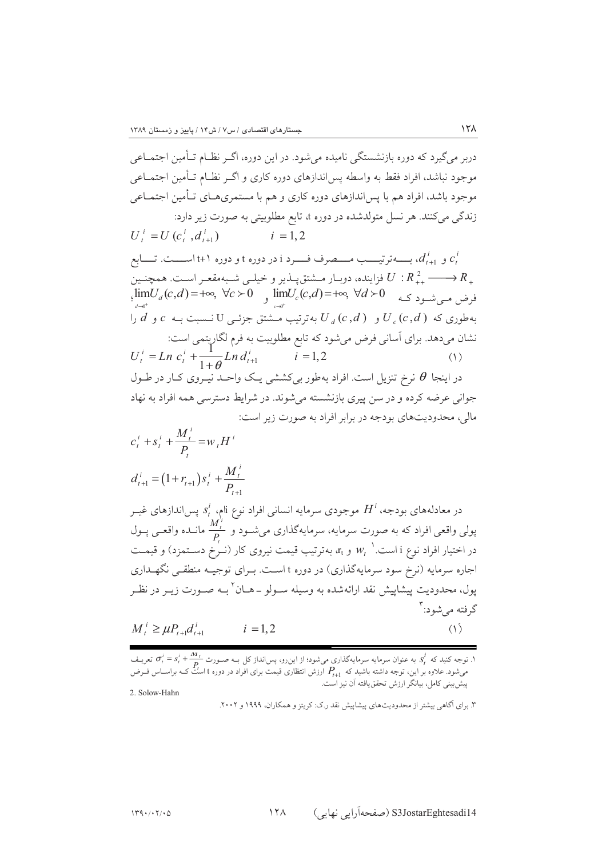دربر میگیرد که دوره بازنشستگی نامیده می شود. در این دوره، اگــر نظــام تــأمین اجتمــاعی موجود نباشد، افراد فقط به واسطه يس اندازهاي دوره كاري و اگــر نظــام تــأمين اجتمــاعـي موجود باشد، افراد هم با پس اندازهای دوره کاری و هم با مستمریهــای تــأمین اجتمــاعی زندگی میکنند. هر نسل متولدشده در دوره d تابع مطلوبیتی به صورت زیر دارد:  $U_{i}^{i} = U(c_{i}^{i}, d_{i+1}^{i})$  $i = 1, 2$ و  $d_{t+1}^{\,i}$  بـــــهترتيـــــب مــــصرف فــــرد i در دوره t و دوره (+t اســـــت. تـــــابع  $c_t^{\,i}$ فزاینده، دوبـار مــشتق $\lim_{c \to c} U : R_{++}^2 \longrightarrow R_+$ <br>فرض مــیشــود کــه  $U : R_{++}^2 \longrightarrow R_{++}$   $\lim_{d \to 0^+} U_d(c,d) = +\infty, \ \forall c \succ 0$  و  $\lim_{d \to 0^+} U_c(c,d) = +\infty, \ \forall d \succ 0$ به طوری که  $U_{\alpha}(c,d)$  و  $U_{\alpha}(c,d)$  به ترتیب مـــشتق جزئــی  $U_{\alpha}(c,d)$  نسبت بــه  $c$  و  $d$  را .<br>نشان میدهد. برای آسانی فرض میشود که تابع مطلوبیت به فرم لگاریتمی است:<br> $U_i^i = Ln\ c_i^i + \frac{1}{1+\theta}Ln\ d_{i+1}^i \qquad \qquad i=1,2$ در اینجا  $\theta$  نرخ تنزیل است. افراد بهطور بی کششی یـک واحــد نیــروی کــار در طــول جوانی عرضه کرده و در سن پیری بازنشسته میشوند. در شرایط دسترسی همه افراد به نهاد مالي، محدوديتهاي بودجه در برابر افراد به صورت زير است:  $c_t^i + s_t^i + \frac{M_t^i}{P} = w_t H^i$  $d_{t+1}^i = (1 + r_{t+1})s_t^i + \frac{M_t^i}{R}$ در معادلههای بودجه،  $H^i$  موجودی سرمایه انسانی افراد نوع نام،  $s_t^i$  پس|ندازهای غیــر پولی واقعی افراد که به صورت سرمایه، سرمایهگذاری میشـود و  $\frac{M_t'}{P}$  مانـده واقعـی پـول در اختیار افراد نوع i است. $w_t$  و  $x_t$  بهترتیب قیمت نیروی کار (نــرخ دســتمزد) و قیمــت اجاره سرمایه (نرخ سود سرمایهگذاری) در دوره t است. بـرای توجیـه منطقــ تگهــداری يول، محدوديت پيشاپيش نقد ارائهشده به وسيله سـولو ــ هــان<sup>٢</sup>بــه صــورت زيــر در نظــر گرفته می شود: آ  $M_t^i \geq \mu P_{t+1} d_{t+1}^i$  $(1)$  $i = 1, 2$ 

.<br>۱. توجه کنید که  $s_t^i$  به عنوان سرمایه سرمایهگذاری میشود؛ از این رو، پس|نداز کل بــه صــورت  $\sigma_i^i = s_t^i + \frac{m_t}{n}$  تعریـف می شود. علاوه بر این، توجه داشته باشید که  $P_{t+1}$  ک تاریخ در تاریخ می توجه در دوره t است کـه براسـاس فـرض<br>می شود. علاوه بر این، توجه داشته باشید که  $P_{t+1}$  ارزش انتظاری قیمت برای افراد در دوره t است کـه براسـاس فـرض پیشبینی کامل، بیانگر ارزش تحقق یافته آن نیز است.

2. Solow-Hahn

 $149.7.77.0$ 

۳. برای آگاهی بیشتر از محدودیتهای پیشاییش نقد ر.ک: کریتز و همکاران، ۱۹۹۹ و ۲۰۰۲.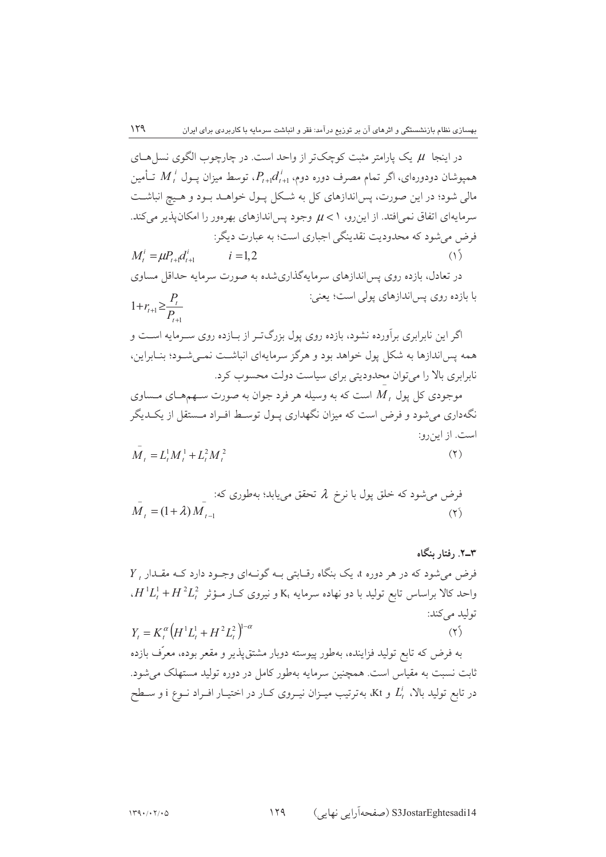در اینجا  $\mu$  یک بارامتر مثبت کوچک تر از واحد است. در چارچوب الگوی نسل هیای همیوشان دودورهای، اگر تمام مصرف دوره دوم،  $P_{t+1}$ ، توسط میزان یــول  $M_t^{\ i}$  تــأمین مالی شود؛ در این صورت، پس|ندازهای کل به شـکل پـول خواهــد بــود و هــیچ انباشــت سرمایهای اتفاق نمی افتد. از این رو، ۱ > µ وجود پس اندازهای بهرهور را امکان پذیر می کند. فرض می شود که محدودیت نقدینگی اجباری است؛ به عبارت دیگر:  $M_t^i = \mu P_{t+1} d_{t+1}^i$  $(1)$  $i = 1, 2$ 

در تعادل، بازده روی پس اندازهای سرمایهگذاریشده به صورت سرمایه حداقل مساوی با بازده روی پس اندازهای پولی است؛ یعنی:  $1 + r_{t+1} \geq \frac{P_t}{P}$ 

اگر این نابرابری برآورده نشود، بازده روی پول بزرگتر از بـازده روی سـرمایه اسـت و همه پس اندازها به شکل یول خواهد بود و هرگز سرمایهای انباشت نمبی شـود؛ بنـابراین، نابرابری بالا را می توان محدودیتی برای سیاست دولت محسوب کرد.

موجودي کل يول  $M$  است که به وسيله هر فرد جوان به صورت سـهمهـاي مـساوي نگهداری می شود و فرض است که میزان نگهداری پـول توسـط افـراد مـستقل از یکـدیگر است. از این رو:

 $\overline{M}_{1} = L^{1} M^{1} + L^{2} M^{2}$  $(5)$ 

éرض میشود که خلق پول با نرخ ۸ تحقؤ مییابلا؛ بهطوری که:  
\n
$$
\bar{M}_{t} = (1 + \lambda) M_{t-1}
$$

۳\_۲. , فتا, ینگاه  $Y$ . فرض می شود که در هر دوره d یک بنگاه رقبایتی بـه گونـهای وجـود دارد کـه مقـدار  $\epsilon H^1 L^1_t + H^2 L^2_t$  واحد کالا براساس تابع تولید با دو نهاده سرمایه  $\kappa_t$  و نیروی ک $\epsilon$ ار مـؤثر توليد مي كند:  $Y = K^{\alpha} (H^1 L^1 + H^2 L^2)^{1-\alpha}$  $(Y^{\zeta})$ به فرض که تابع تولید فزاینده، بهطور پیوسته دوبار مشتق،پذیر و مقعر بوده، معرِّف بازده ثابت نسبت به مقیاس است. همچنین سرمایه بهطور کامل در دوره تولید مستهلک می شود. در تابع تولید بالا،  $L_t^i$  و Kt، بهترتیب میــزان نیــروی کــار در اختیــار افــراد نــوع i و ســطح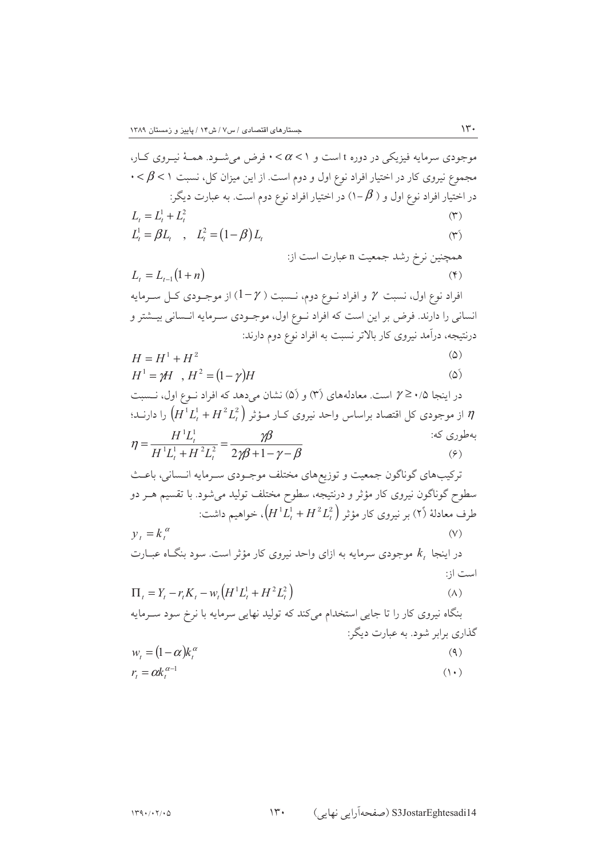$\gamma$ 

S3JostarEghtesadi14 (صفحهآرایی نهایی)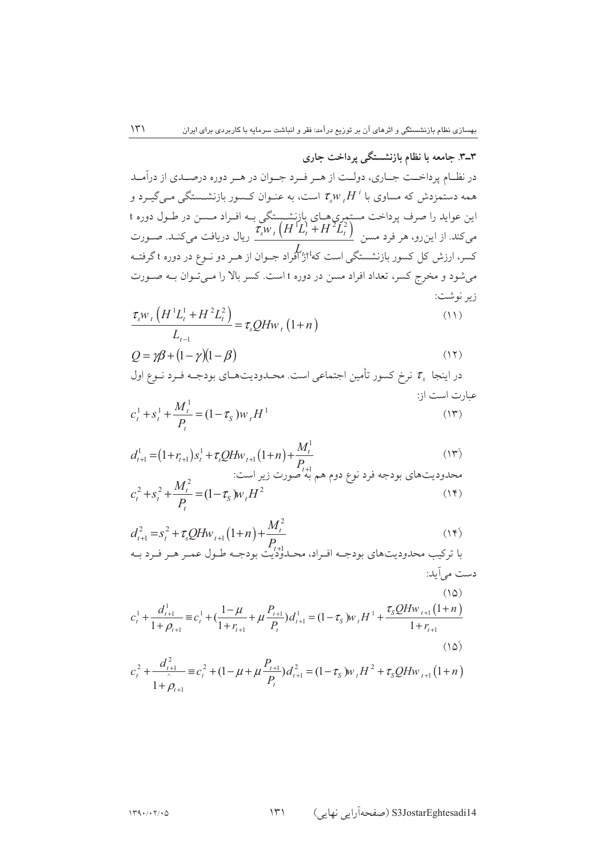۳ـ۳. جامعه با نظام بازنشستگی پرداخت جاری در نظـام پرداخــت جــاري، دولــت از هــر فــرد جــوان در هــر دوره درصــدي از دراَمــد همه دستمزدش که مساوی با  $\tau_s w_{~t} H^{~i}$  است، به عنـوان کـسور بازنشـستگی مـیگیـرد و این عواید را صرف پرداخت مستمری هـای بازنشــستگی بــه افــراد مــسن در طــول دوره t<br>میکند. از این رو، هر فرد مسن  $\frac{\tau_s w_{\,\,\prime}\left(H^1L^1_t+H^2L^2_t\right)}{-L}$  ریال دریافت میکنـد. صــورت ی<br>کسر، ارزش کل کسور بازنشستگی است که<sup>11</sup>ژ'آفراد جـوان از هـر دو نـوع در دوره t گرفتـه میشود و مخرج کسر، تعداد افراد مسن در دوره t است. کسر بالا را مـیتـوان بـه صـورت زير نوشت:

$$
\frac{\tau_s w_t \left( H^1 L_t^1 + H^2 L_t^2 \right)}{L_{t-1}} = \tau_s Q H w_t \left( 1 + n \right)
$$
\n(11)

$$
Q = \gamma \beta + (1 - \gamma)(1 - \beta) \tag{17}
$$

در اینجا 
$$
\tau_s
$$
 نرخ کسور تأمین اجتماعی است. محدودیتهای بودجـه فـرد نیع اول  
عبارت است از:  
م<sup>1</sup> + s<sup>1</sup> +  $\frac{M_t^1}{t} - (1 - \tau)w$  #<sup>1</sup>

$$
c_t^1 + s_t^1 + \frac{M_t}{P_t} = (1 - \tau_s) w_t H^1
$$
 (17)

$$
d_{t+1}^{1} = (1 + r_{t+1})s_t^1 + \tau_s Q H w_{t+1} (1 + n) + \frac{M_t^1}{P_{t+1}}
$$
\n
$$
c_t^2 + s_t^2 + \frac{M_t^2}{P_t} = (1 - \tau_s) w_t H^2
$$
\n
$$
(14)
$$
\n
$$
(15)
$$

$$
d_{t+1}^{2} = s_{t}^{2} + \tau_{s} Q H w_{t+1} (1+n) + \frac{M_{t}^{2}}{P_{t+1}}
$$
\n(1\*)\n1

$$
c_{t}^{1} + \frac{d_{t+1}^{1}}{1 + \rho_{t+1}} \equiv c_{t}^{1} + \left(\frac{1 - \mu}{1 + r_{t+1}} + \mu \frac{P_{t+1}}{P_{t}}\right) d_{t+1}^{1} = (1 - \tau_{S}) w_{t} H^{1} + \frac{\tau_{S} Q H w_{t+1} (1 + n)}{1 + r_{t+1}} \tag{10}
$$
\n
$$
(10)
$$

$$
c_t^2 + \frac{d_{t+1}^2}{1 + \rho_{t+1}} \equiv c_t^2 + (1 - \mu + \mu \frac{P_{t+1}}{P_t}) d_{t+1}^2 = (1 - \tau_s) w_t H^2 + \tau_s Q H w_{t+1} (1 + n)
$$

 $\mathcal{N}$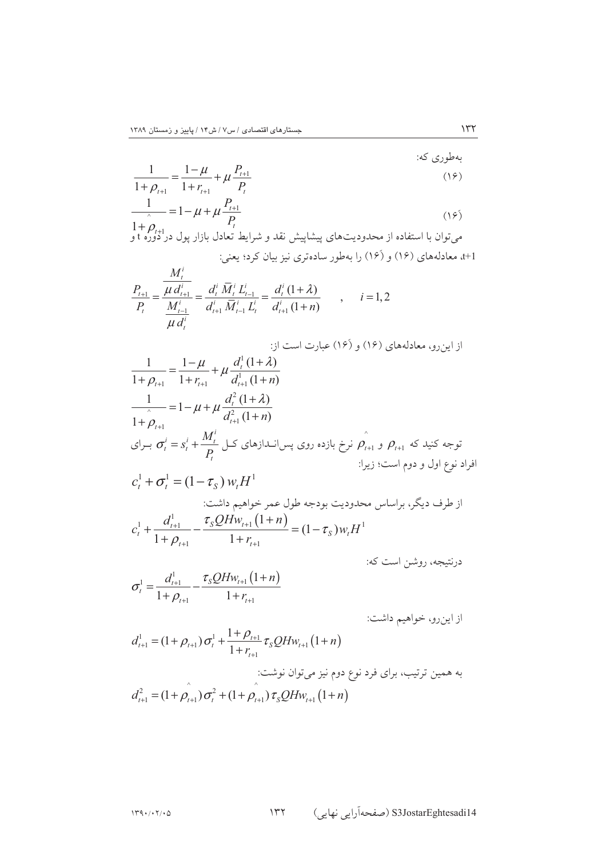$$
\frac{1}{1+\rho_{t+1}} = \frac{1-\mu}{1+r_{t+1}} + \mu \frac{P_{t+1}}{P_t}
$$
\n(19)

$$
\frac{1}{\lambda - 1} = 1 - \mu + \mu \frac{I_{t+1}}{P_t}
$$
\n
$$
1 + \rho_{t+1}
$$
\n
$$
\rho_{t+1} = \rho_{t+1}
$$
\n1 + \rho\_{t+1} = \rho\_{t+1}

\n1 + \rho\_{t+1} = \rho\_{t+1}

\n1 + \rho\_{t+1} = \rho\_{t+1}

\n1 + \rho\_{t+1} = \rho\_{t+1}

\n1 + \rho\_{t+1} = \rho\_{t+1}

\n1 + \rho\_{t+1} = \rho\_{t+1}

\n1 + \rho\_{t+1} = \rho\_{t+1}

\n1 + \rho\_{t+1} = \rho\_{t+1}

\n1 + \rho\_{t+1} = \rho\_{t+1}

\n1 + \rho\_{t+1} = \rho\_{t+1}

\n1 + \rho\_{t+1} = \rho\_{t+1}

\n1 + \rho\_{t+1} = \rho\_{t+1}

\n1 + \rho\_{t+1} = \rho\_{t+1}

\n1 + \rho\_{t+1} = \rho\_{t+1}

\n1 + \rho\_{t+1} = \rho\_{t+1}

\n1 + \rho\_{t+1} = \rho\_{t+1}

\n1 + \rho\_{t+1} = \rho\_{t+1}

\n1 + \rho\_{t+1} = \rho\_{t+1}

\n1 + \rho\_{t+1} = \rho\_{t+1}

\n1 + \rho\_{t+1} = \rho\_{t+1}

\n1 + \rho\_{t+1} = \rho\_{t+1}

\n1 + \rho\_{t+1} = \rho\_{t+1}

\n1 + \rho\_{t+1} = \rho\_{t+1}

\n1 + \rho\_{t+1} = \rho\_{t+1}

\n1 + \rho\_{t+1} = \rho\_{t+1}

\n1 + \rho\_{t+1} = \rho\_{t+1}

\n1 + \rho\_{t+1} = \rho\_{t+1}

\n1 + \rho\_{t+1} = \rho\_{t+1}

\n1 + \rho\_{t+1} = \rho\_{t+1}

\n1 + \rho\_{t+1} = \rho\_{t+1}

\n1 + \rho\_{t+1} = \rho\_{t+1}

\n

t+1، معادلههای (۱۶) و (۱۶) را بهطور سادهتری نیز بیان کرد؛ یعنی:

$$
\frac{P_{t+1}}{P_t} = \frac{\frac{M_t^i}{\mu d_{t+1}^i}}{\frac{M_{t-1}^i}{\mu d_t^i}} = \frac{d_t^i \overline{M}_t^i L_{t-1}^i}{d_{t+1}^i \overline{M}_{t-1}^i L_t^i} = \frac{d_t^i (1+\lambda)}{d_{t+1}^i (1+n)}, \qquad i = 1, 2
$$

$$
\frac{1}{1+\rho_{l+1}} = \frac{1-\mu}{1+r_{l+1}} + \mu \frac{d_i^1(1+\lambda)}{d_{l+1}^1(1+n)}
$$
\n
$$
\frac{1}{1+\rho_{l+1}} = 1 - \mu + \mu \frac{d_i^2(1+\lambda)}{d_{l+1}^2(1+n)}
$$
\n
$$
\frac{\partial}{\partial t} = s_l^i + \frac{M_l^i}{P_l}
$$
\n
$$
c_l^i = s_l^i + \frac{M_l^i}{P_l}
$$
\n
$$
c_l^i + \sigma_l^1 = (1-\tau_s) w_t H^1
$$
\n
$$
c_l^i + \sigma_l^1 = (1-\tau_s) w_t H^1
$$
\n
$$
c_l^i + \frac{d_{l+1}^1}{1+\rho_{l+1}} - \frac{\tau_s Q H w_{l+1} (1+n)}{1+\tau_{l+1}} = (1-\tau_s) w_t H^1
$$

درنتیجه، روشن است که:

 $\Upsilon \Upsilon$ 

 $\overline{a}$ 

$$
\sigma_t^1 = \frac{d_{t+1}^1}{1 + \rho_{t+1}} - \frac{\tau_s Q H w_{t+1} (1 + n)}{1 + r_{t+1}}
$$

از اينرو، خواهيم داشت:

$$
d_{t+1}^{1} = (1 + \rho_{t+1}) \sigma_{t}^{1} + \frac{1 + \rho_{t+1}}{1 + r_{t+1}} \tau_{S} Q H w_{t+1} (1 + n)
$$
  
1 +  $r_{t+1}$   
1 +  $r_{t+1}$   
2 $d_{t+1}^{2} = (1 + \rho_{t+1}) \sigma_{t}^{2} + (1 + \rho_{t+1}) \tau_{S} Q H w_{t+1} (1 + n)$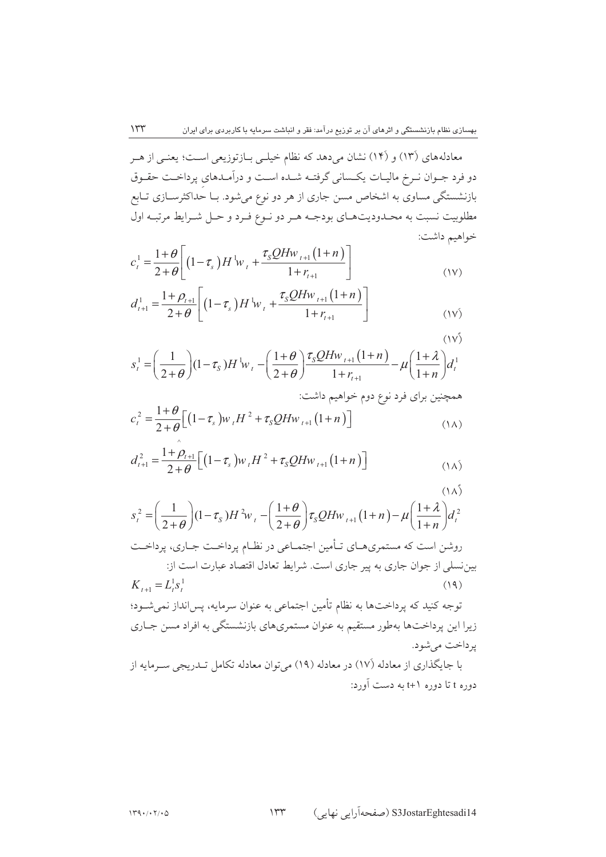معادلههای (۱۳) و (۱۴) نشان میدهد که نظام خیلـی بـازتوزیعی اسـت؛ یعنـی از هـر دو فرد جـوان نـرخ ماليـات يكـساني گرفتــه شــده اســت و درآمـدهاي پرداخـت حقـوق بازنشستگی مساوی به اشخاص مسن جاری از هر دو نوع میشود. بـا حداکثرســازی تــابع مطلوبيت نسبت به محـدوديتهـاي بودجـه هـر دو نـوع فـرد و حـل شـرايط مرتبـه اول خواهيم داشت:

$$
c_{t}^{1} = \frac{1+\theta}{2+\theta} \left[ \left(1-\tau_{s}\right) H^{1} w_{t} + \frac{\tau_{s} Q H w_{t+1} \left(1+n\right)}{1+r_{t+1}} \right] \tag{1V}
$$

$$
d_{t+1}^{1} = \frac{1+\rho_{t+1}}{2+\theta} \left[ \left(1-\tau_{s}\right) H^{1} w_{t} + \frac{\tau_{s} Q H w_{t+1} \left(1+n\right)}{1+r_{t+1}} \right] \tag{15}
$$

 $(1V)$  $s_t^1 = \left(\frac{1}{2+\theta}\right)(1-\tau_s)H^1 w_t - \left(\frac{1+\theta}{2+\theta}\right)\frac{\tau_s Q H w_{t+1}(1+n)}{1+r_{t+1}} - \mu\left(\frac{1+\lambda}{1+n}\right)d_t^1$ همچنین برای فرد نوع دوم خواهیم داشت:

$$
c_t^2 = \frac{1+\theta}{2+\theta} \Big[ \big(1-\tau_s\big) w_t H^2 + \tau_s Q H w_{t+1} \big(1+n\big) \Big] \tag{1A}
$$

$$
d_{t+1}^{2} = \frac{1+\rho_{t+1}}{2+\theta} \Big[ \big(1-\tau_{s}\big) w_{t} H^{2} + \tau_{s} Q H w_{t+1} \big(1+n\big) \Big] \tag{1A}
$$

$$
s_t^2 = \left(\frac{1}{2+\theta}\right)(1-\tau_s)H^2w_t - \left(\frac{1+\theta}{2+\theta}\right)\tau_sQHw_{t+1}(1+n) - \mu\left(\frac{1+\lambda}{1+n}\right)d_t^2
$$

روشن است که مستمریهـای تـأمین اجتمـاعی در نظـام پرداخــت جـاری، پرداخــت بین نسلی از جوان جاری به پیر جاری است. شرایط تعادل اقتصاد عبارت است از:  $K_{\text{tot}} = L_s^1 s_1^1$  $(19)$ 

توجه کنید که پرداختها به نظام تأمین اجتماعی به عنوان سرمایه، پس|نداز نمیشــود؛ زیرا این پرداختها بهطور مستقیم به عنوان مستمریهای بازنشستگی به افراد مسن جـاری يرداخت مي شود.

با جایگذاری از معادله (۱۷) در معادله (۱۹) میتوان معادله تکامل تـدریجی سـرمایه از دوره t تا دوره (+t به دست آورد:

 $\gamma \gamma \gamma$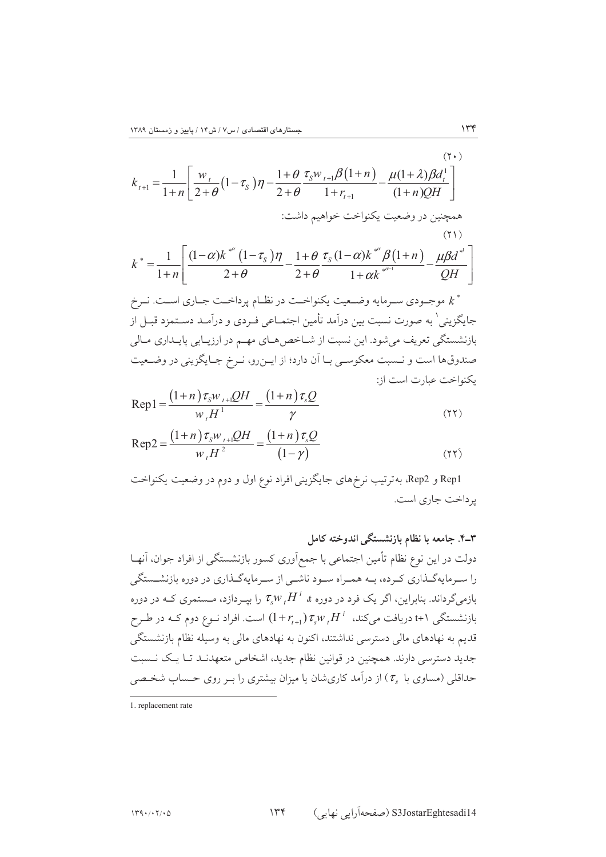$$
k_{t+1} = \frac{1}{1+n} \left[ \frac{w_t}{2+\theta} (1-\tau_s) \eta - \frac{1+\theta}{2+\theta} \frac{\tau_s w_{t+1} \beta (1+n)}{1+r_{t+1}} - \frac{\mu(1+\lambda) \beta d_t^1}{(1+n) QH} \right]
$$
  
\n
$$
k^* = \frac{1}{1+n} \left[ \frac{(1-\alpha) k^{*^{\alpha}} (1-\tau_s) \eta}{2+\theta} - \frac{1+\theta}{2+\theta} \frac{\tau_s (1-\alpha) k^{*^{\alpha}} \beta (1+n)}{1+\alpha k^{*^{\alpha-1}}} - \frac{\mu \beta d^{*^{\beta}}}{QH} \right]
$$
  
\n
$$
k^* = \frac{1}{1+n} \left[ \frac{(1-\alpha) k^{*^{\alpha}} (1-\tau_s) \eta}{2+\theta} - \frac{1+\theta}{2+\theta} \frac{\tau_s (1-\alpha) k^{*^{\alpha}} \beta (1+n)}{1+\alpha k^{*^{\alpha-1}}} - \frac{\mu \beta d^{*^{\beta}}}{QH} \right]
$$
  
\n
$$
k^* = \frac{1}{1+n} \left[ \frac{1-\alpha}{2+\theta} \frac{\beta d^{*^{\beta}}}{2+\theta} - \frac{1+\theta}{2+\theta} \frac{\beta d^{*^{\beta}}}{2+\theta} - \frac{\beta d^{*^{\beta}}}{2+\theta} \right]
$$
  
\n
$$
k^*
$$
  
\n
$$
k^*
$$
  
\n
$$
k^*
$$
  
\n
$$
k^*
$$
  
\n
$$
k^*
$$
  
\n
$$
k^*
$$
  
\n
$$
k^*
$$
  
\n
$$
k^*
$$
  
\n
$$
k^*
$$
  
\n
$$
k^*
$$
  
\n
$$
k^*
$$
  
\n
$$
k^*
$$
  
\n
$$
k^*
$$
  
\n
$$
k^*
$$
  
\n
$$
k^*
$$
  
\n
$$
k^*
$$
  
\n
$$
k^*
$$
  
\n
$$
k^*
$$
  
\n
$$
k^*
$$
  
\n
$$
k^*
$$
  
\n
$$
k^*
$$
  
\n
$$
k^*
$$
  
\n<

$$
Rep1 = \frac{(1+n)\tau_{s}w_{t+1}QH}{w_{t}H^{1}} = \frac{(1+n)\tau_{s}Q}{\gamma}
$$
\n(11)

$$
Rep2 = \frac{(1+n)\tau_{sW_{t+1}}QH}{w_{t}H^{2}} = \frac{(1+n)\tau_{s}Q}{(1-\gamma)}
$$
(17)

Rep1 و Rep2، بهترتیب نرخهای جایگزینی افراد نوع اول و دوم در وضعیت یکنواخت پرداخت جاري است.

۳–۴. جامعه با نظام بازنشستگی اندوخته کامل  
دولت در این نوع نظام تأمین اجتماعی با جمعآوری کسور بازنشستگی از افراد جوان، آنها  
را سرمایهگدااری کرده، بـه همـراه سـود ناشی از سرمایهگـذاری در دوره بازنشستگی  
بازمیگرداند. بنابراین، اگر یک فرد در دوره ۱، 
$$
\tau_s w_t H^i
$$
 را بیردازد، مستمری کـه در طرح  
تایم به نهادهای مالی دسترسی نداشتئد، اکنون به نهادهای مالی به وسیله نظام بازنشستگی  
جدید دسترسی دارند. همچنین در قوانین نظام جدید، اشخاص متعهدنـد تـا یـک نـسبت  
جدید دسترسی دارند. همچنین در قوانین نظام جدید، اشخاص متعهدنـد تـا یـک نـسبت  
حداقلی (مساوی با ی۲) از درآمد کاریشان یا میزان بیشتری را بـر روی حسباب شخصی

<sup>1.</sup> replacement rate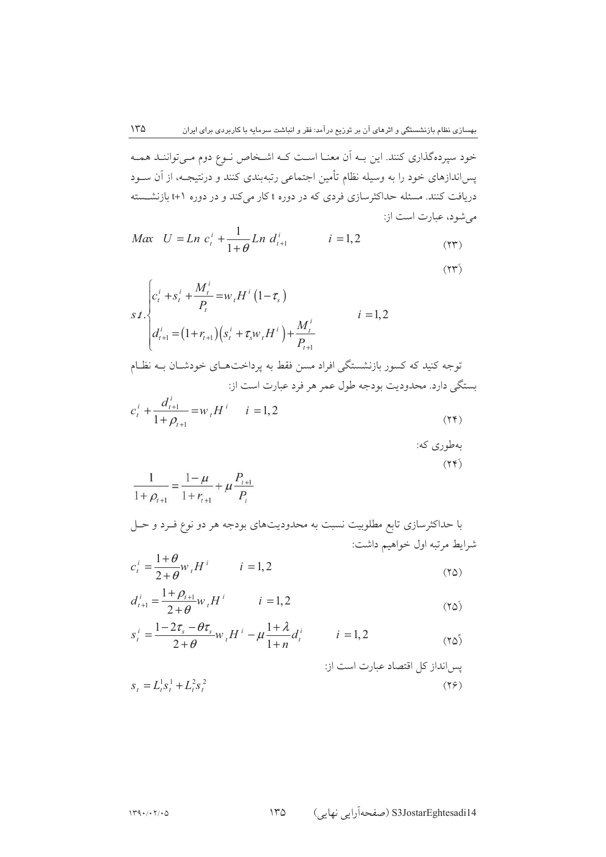خود سپردهگذاری کنند. این بـه اَن معنـا اسـت کـه اشـخاص نـوع دوم مـیتواننـد همـه پس|ندازهای خود را به وسیله نظام تأمین اجتماعی رتبهبندی کنند و درنتیجـه، از آن ســود دریافت کنند. مسئله حداکثرسازی فردی که در دوره t کار میکند و در دوره (+t بازنشــسته می شود، عبارت است از:  $\sim 1$ 

$$
Max \quad U = Ln \ c_i^i + \frac{1}{1+\theta} Ln \ d_{i+1}^i \qquad \qquad i = 1, 2 \tag{YY}
$$

$$
s \, t \cdot \begin{cases} c_i^i + s_i^i + \frac{M_i^i}{P_t} = w_i H^i (1 - \tau_s) & i = 1, 2 \\ d_{i+1}^i = (1 + r_{i+1}) \Big( s_i^i + \tau_s w_i H^i \Big) + \frac{M_i^i}{P_{i+1}} & i = 1, 2 \end{cases}
$$
\n
$$
i = 1, 2
$$
\n
$$
\text{since } \tau_i \text{ is a real, } \tau_i \text{ is a real, } \tau_i \text{ is a real, } \tau_i \text{ is a real, } \tau_i \text{ is a real, } \tau_i \text{ is a real, } \tau_i \text{ is a real, } \tau_i \text{ is a real, } \tau_i \text{ is a real, } \tau_i \text{ is a real, } \tau_i \text{ is a real, } \tau_i \text{ is a real, } \tau_i \text{ is a real, } \tau_i \text{ is a real, } \tau_i \text{ is a real, } \tau_i \text{ is a real, } \tau_i \text{ is a real, } \tau_i \text{ is a real, } \tau_i \text{ is a real, } \tau_i \text{ is a real, } \tau_i \text{ is a real, } \tau_i \text{ is a real, } \tau_i \text{ is a real, } \tau_i \text{ is a real, } \tau_i \text{ is a real, } \tau_i \text{ is a real, } \tau_i \text{ is a real, } \tau_i \text{ is a real, } \tau_i \text{ is a real, } \tau_i \text{ is a real, } \tau_i \text{ is a real, } \tau_i \text{ is a real, } \tau_i \text{ is a real, } \tau_i \text{ is a real, } \tau_i \text{ is a real, } \tau_i \text{ is a real, } \tau_i \text{ is a real, } \tau_i \text{ is a real, } \tau_i \text{ is a real, } \tau_i \text{ is a real, } \tau_i \text{ is a real, } \tau_i \text{ is a real, } \tau_i \text{ is a real, } \tau_i \text{ is a real, } \tau_i \text{ is a real, } \tau_i \text{ is a real, } \tau_i \text{ is a real, } \tau_i \text{ is a real, } \tau_i \text{ is a real, } \tau_i \text{ is a real, } \tau_i \text{ is a real, } \tau_i \text{ is a real, } \tau_i \text{ is a real, } \tau_i \text{ is a real, } \tau_i \text{ is a real, } \
$$

با حداکثرسازی تابع مطلوبیت نسبت به محدودیتهای بودجه هر دو نوع فـرد و حـل شرايط مرتبه اول خواهيم داشت:

$$
c_i^i = \frac{1+\theta}{2+\theta} w_i H^i \qquad i=1,2
$$
\n(70)

$$
d_{t+1}^i = \frac{1+\rho_{t+1}}{2+\theta} w_t H^i \qquad i = 1,2
$$
 (Ya)

$$
s_t^i = \frac{1 - 2\tau_s - \theta\tau_s}{2 + \theta} w_t H^i - \mu \frac{1 + \lambda}{1 + n} d_t^i \qquad i = 1, 2
$$
 (70)

$$
s_{t} = L_{t}^{1} s_{t}^{1} + L_{t}^{2} s_{t}^{2}
$$
 بیساندارز کل اقتصاد عبارت است از: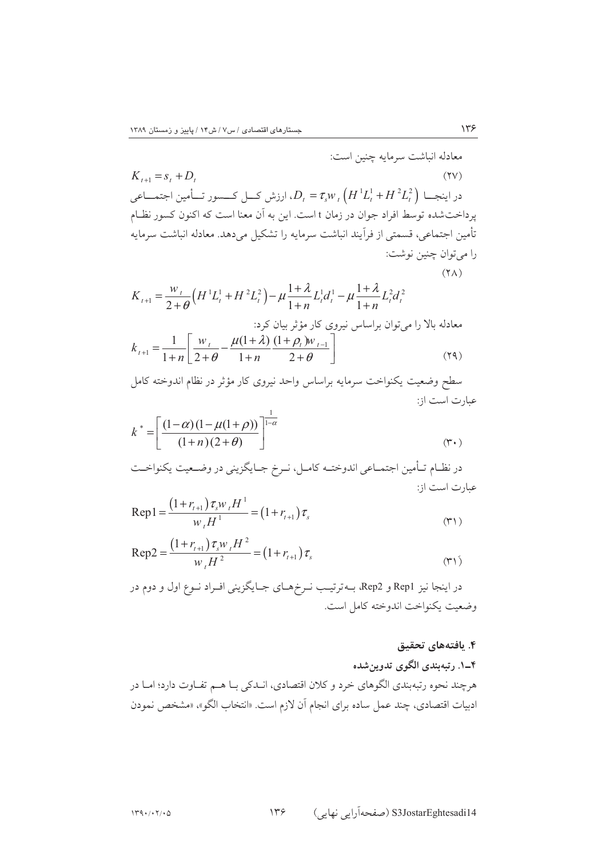معادله انباشت سرمايه چنين است:  $K_{t+1} = s_t + D_t$  $(11)$ در اینجـــا  $D_{t} = \tau_{s} w_{t} \left( H^{1} L_{t}^{1} + H^{2} L_{t}^{2} \right)$ ، ارزش کـــل کــــسور تـــأمین اجتمـــاعی پرداختشده توسط افراد جوان در زمان t است. این به آن معنا است که اکنون کسور نظـام تأمين اجتماعي، قسمتي از فراّيند انباشت سرمايه را تشكيل مي دهد. معادله انباشت سرمايه را ميتوان چنين نوشت:  $(Y \wedge)$ 

$$
K_{t+1} = \frac{w_{t}}{2+\theta} \Big( H^{1} L_{t}^{1} + H^{2} L_{t}^{2} \Big) - \mu \frac{1+\lambda}{1+n} L_{t}^{1} d_{t}^{1} - \mu \frac{1+\lambda}{1+n} L_{t}^{2} d_{t}^{2}
$$
  
as 
$$
K_{t+1} = \frac{1}{1+n} \Bigg[ \frac{w_{t}}{2+\theta} - \frac{\mu(1+\lambda)}{1+n} \frac{(1+\rho_{t})w_{t-1}}{2+\theta} \Bigg] \Bigg] \tag{74}
$$

سطح وضعيت يكنواخت سرمايه براساس واحد نيروى كار مؤثر در نظام اندوخته كامل عبارت است از:

$$
k^* = \left[ \frac{(1-\alpha)(1-\mu(1+\rho))}{(1+n)(2+\theta)} \right]^{\frac{1}{1-\alpha}}
$$
 (7.)

$$
Rep1 = \frac{(1 + r_{t+1})\tau_s w_t H^1}{w_t H^1} = (1 + r_{t+1})\tau_s
$$
\n<sup>(\*)</sup>

$$
Rep2 = \frac{(1 + r_{t+1}) \tau_s w_t H^2}{w_t H^2} = (1 + r_{t+1}) \tau_s
$$
\n<sup>(\*)</sup>

در اینجا نیز Rep1 و Rep2، بـهترتیـب نـرخهـای جـایگزینی افـراد نـوع اول و دوم در وضعيت يكنواخت اندوخته كامل است.

#### ۴. بافتههای تحقیق

 $\gamma$ 

## ۴ــ۱. رتبهبندي الگوي تدوين شده

هرچند نحوه رتبهبندي الگوهاي خرد و كلان اقتصادي، انـدكي بـا هـم تفـاوت دارد؛ امـا در ادبیات اقتصادی، چند عمل ساده برای انجام آن لازم است. «انتخاب الگو»، «مشخص نمودن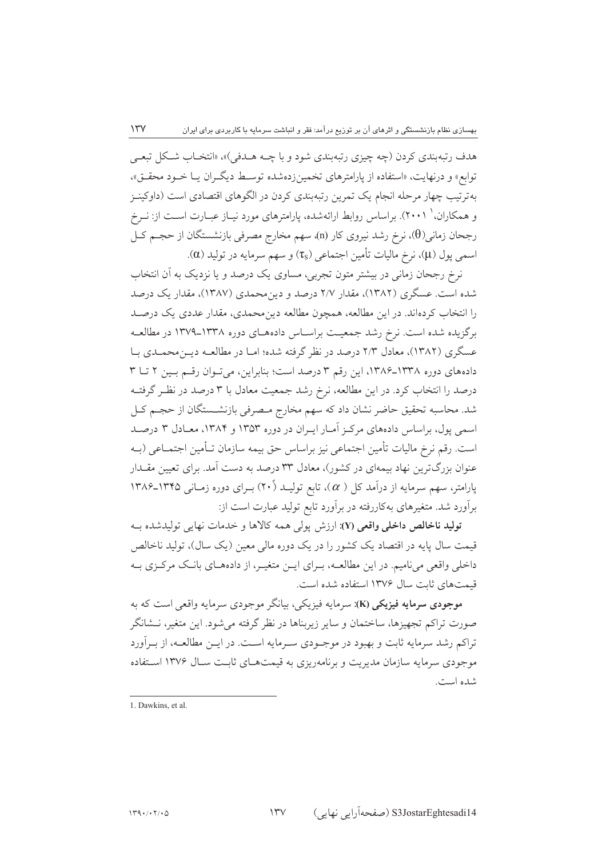هدف رتبهپندي کردن (چه چيزي رتبهپندي شود و با چــه هــدفي)»، «انتخــاب شــکل تبعــي توابع» و درنهایت، «استفاده از پارامترهای تخمینزدهشده توسط دیگران یـا خـود محقـق»، بهترتیب چهار مرحله انجام یک تمرین رتبهبندی کردن در الگوهای اقتصادی است (داوکینـز و همکاران، ` ۲۰۰۱). براساس روابط ارائهشده، پارامترهای مورد نیـاز عبـارت اسـت از: نــرخ رجحان زمانی(θ)، نرخ رشد نیروی کار (n)، سهم مخارج مصرفی بازنشستگان از حجـم کـل اسمي پول (µ)، نرخ ماليات تأمين اجتماعي (πs) و سهم سرمايه در توليد (α).

نرخ رجحان زمانی در بیشتر متون تجربی، مساوی یک درصد و یا نزدیک به آن انتخاب شده است. عسگری (۱۳۸۲)، مقدار ۲/۷ درصد و دین محمدی (۱۳۸۷)، مقدار یک درصد را انتخاب کردهاند. در این مطالعه، همچون مطالعه دین محمدی، مقدار عددی یک درصـد برگزیده شده است. نرخ رشد جمعیت براسـاس دادههـای دوره ۱۳۳۸ـ۱۳۷۹ در مطالعـه عسگری (۱۳۸۲)، معادل ۲/۳ درصد در نظر گرفته شده؛ امـا در مطالعـه ديـن، محمـدي بـا دادههای دوره ١٣٣٨-١٣٨۶، اين رقم ٣ درصد است؛ بنابراين، مي توان رقم بين ٢ تا ٣ درصد را انتخاب کرد. در این مطالعه، نرخ رشد جمعیت معادل با ۳ درصد در نظـر گرفتــه شد. محاسبه تحقیق حاضر نشان داد که سهم مخارج مصرفی بازنشــستگان از حجــم کــل اسمی یول، براساس دادههای مرکز آمـار ایـران در دوره ۱۳۵۳ و ۱۳۸۴، معـادل ۳ درصـد است. رقم نرخ ماليات تأمين اجتماعي نيز براساس حق بيمه سازمان تـأمين اجتمــاعي (بــه عنوان بزرگترین نهاد بیمهای در کشور)، معادل ۳۳ درصد به دست آمد. برای تعیین مقـدار پارامتر، سهم سرمایه از درآمد کل (  $\alpha$ )، تابع تولیــد (۲۰) بــرای دوره زمــانی ۱۳۴۵ـ۱۳۸۶ برآورد شد. متغیرهای بهکاررفته در برآورد تابع تولید عبارت است از:

توليد ناخالص داخلي واقعي (Y): ارزش يولي همه كالاها و خدمات نهايي توليدشده بـه قیمت سال پایه در اقتصاد یک کشور را در یک دوره مالی معین (یک سال)، تولید ناخالص داخلی واقعی مینامیم. در این مطالعــه، بــرای ایــن متغیــر، از دادههــای بانــک مرکــزی بــه قیمتهای ثابت سال ۱۳۷۶ استفاده شده است.

موجودي سرمايه فيزيكي (K): سرمايه فيزيكي، بيانگر موجودي سرمايه واقعي است كه به صورت تراکم تجهیزها، ساختمان و سایر زیربناها در نظر گرفته می شود. این متغیر، نــشانگر تراکم رشد سرمایه ثابت و بهبود در موجـودي سـرمايه اسـت. در ايـن مطالعـه، از بـرآورد موجودی سرمایه سازمان مدیریت و برنامهریزی به قیمتهای ثابت سـال ۱۳۷۶ اسـتفاده شده است.

<sup>1.</sup> Dawkins, et al.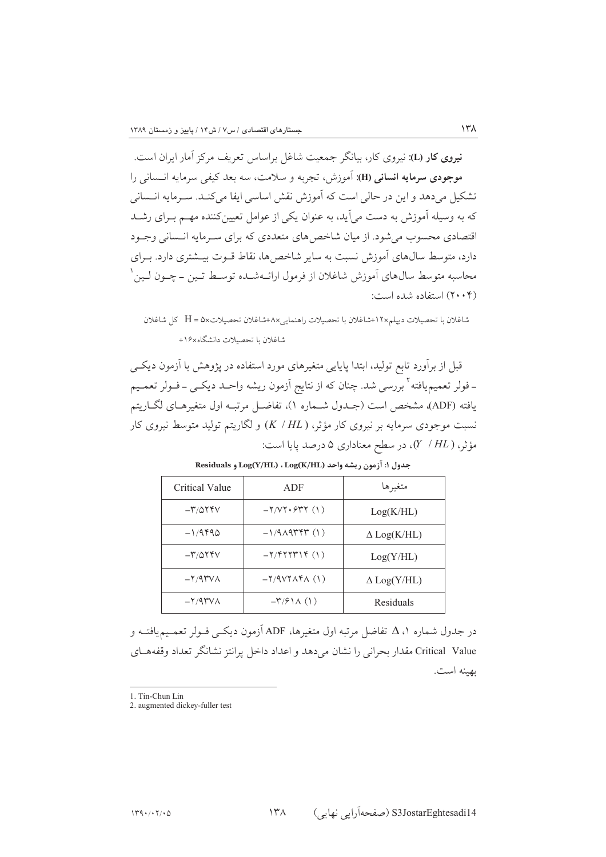نیروی کار (L): نیروی کار، بیانگر جمعیت شاغل براساس تعریف مرکز آمار ایران است. موجودي سرمايه انساني (H): آموزش، تجربه و سلامت، سه بعد كيفي سرمايه انــساني را تشکیل میدهد و این در حالی است که آموزش نقش اساسی ایفا میکنـد. سـرمایه انـسانی که به وسیله آموزش به دست می آید، به عنوان یکی از عوامل تعیین کننده مهــم بــرای رشــد اقتصادی محسوب می شود. از میان شاخص های متعددی که برای سـرمایه انـسانی وجـود دارد، متوسط سالهای آموزش نسبت به سایر شاخصها، نقاط قـوت بیـشتری دارد. بـرای محاسبه متوسط سال0هاي آموزش شاغلان از فرمول ارائــهشــده توســط تــين ــ چــون لــين ` (۲۰۰۴) استفاده شده است:

شاغلان با تحصيلات دييلم×١٢+شاغلان با تحصيلات راهنمايي×٨+شاغلان تحصيلات×٥ = H كل شاغلان شاغلان با تحصيلات دانشگاه×١۶+

قبل از برآورد تابع تولید، ابتدا پایایی متغیرهای مورد استفاده در پژوهش با آزمون دیکبی ـ فولر تعميم يافته<sup>7</sup> بررسي شد. چنان كه از نتايج اَزمون ريشه واحــد ديكــي ــ فــولر تعمــيم يافته (ADF)، مشخص است (جـدول شــماره ۱)، تفاضــل مرتبـه اول متغيرهـاي لگــاريتم نسبت موجودی سرمایه بر نیروی کار مؤثر، (K / HL) و لگاریتم تولید متوسط نیروی کار مؤثر،  $(Y \mid HL)$ ، در سطح معناداری ۵ درصد پایا است:

| <b>Critical Value</b>                                  | ADF                              | متغيرها            |
|--------------------------------------------------------|----------------------------------|--------------------|
| $-\mathsf{r}/\mathsf{Q}\mathsf{Y}\mathsf{F}\mathsf{V}$ | $-Y/VT \cdot 5YY(1)$             | Log(K/HL)          |
| $-1/9490$                                              | $-1/9\lambda$ 974 $\gamma$ (1)   | $\Delta$ Log(K/HL) |
| $-\mathsf{r}/\mathsf{Q}\mathsf{Y}\mathsf{F}\mathsf{V}$ | $-Y/$ $+YYYYY$ (1)               | Log(Y/HL)          |
| $-Y/4$ $YV$                                            | $-Y/4VY\Lambda Y\Lambda$ (1)     | $\Delta$ Log(Y/HL) |
| $-Y/4$ $YV$                                            | $-\Gamma$ / $\mathcal{F}$ \A (\) | Residuals          |

Residuals و Log(Y/HL) ، Log(K/HL) ، ليشه واحد (Log(X/HL) و Residuals

در جدول شماره ۵ ، Δ تفاضل مرتبه اول متغیرها، ADF آزمون دیکــی فــولر تعمــیمیافتــه و Critical Value مقدار بحرانی را نشان می دهد و اعداد داخل پرانتز نشانگر تعداد وقفههبای ىهىنە است.

1. Tin-Chun Lin

 $\lambda^{\mu}$ 

<sup>2.</sup> augmented dickey-fuller test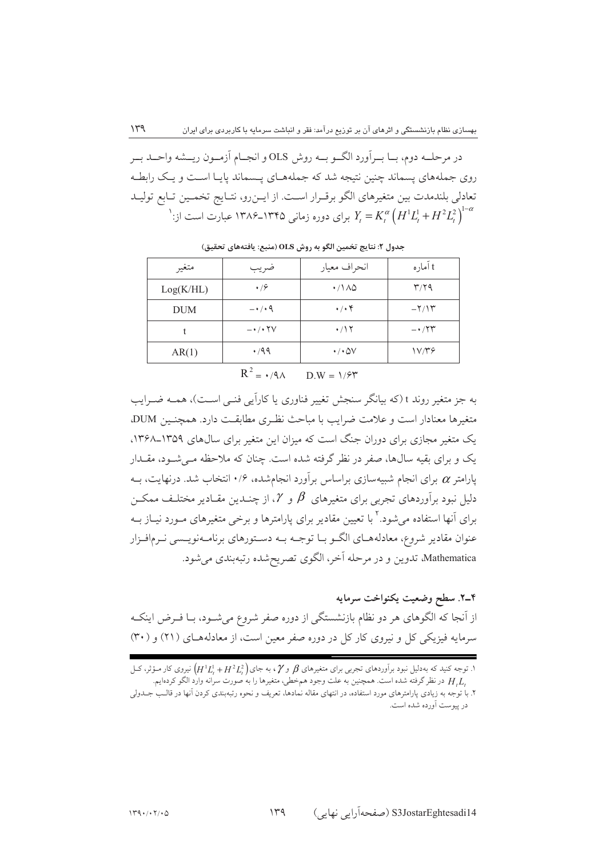در مرحلــه دوم، بــا بــراَورد الگــو بــه روش OLS و انجــام اَزمــون ريــشه واحــد بــر روی جملههای پسماند چنین نتیجه شد که جملههـای پـسماند پایـا اسـت و یـک رابطـه تعادلي بلندمدت بين متغيرهاي الكو برقـرار اسـت. از ايـنرو، نتـايج تخمـين تـابع توليـد 'برای دوره زمانی ۱۳۴۵–۱۳۸۶ عبارت است از: $Y_{t}=K_{t}^{\alpha}\left(H^{1}L_{t}^{1}+H^{2}L_{t}^{2}\right)^{1-\alpha}$ 

| متغير      | ضريب                                 | انحراف معيار                      | t آماره                            |
|------------|--------------------------------------|-----------------------------------|------------------------------------|
| Log(K/HL)  | $\cdot$ /9                           | $\cdot$ /1 $\wedge$ $\varphi$     | $\mathbf{r}/\mathbf{r}$            |
| <b>DUM</b> | $-1/19$                              | $\cdot$ / $\cdot$ $\circ$         | $-\frac{1}{\pi}$                   |
|            | $ \cdot$ / $\cdot$ $\uparrow$ $\vee$ | $\cdot$ /\۲                       | $ \cdot$ $/$ $\uparrow$ $\uparrow$ |
| AR(1)      | $\cdot$ /99                          | $\cdot$ / $\cdot$ $\varpi$ $\vee$ | 1V/Y                               |

جدول ٢: نتايج تخمين الگو به روش OLS (منبع: يافتههاي تحقيق)

 $R^2 = \cdot$  /9  $\Lambda$  $\overline{D} W = 1/5$ 

به جز متغیر روند t (که بیانگر سنجش تغییر فناوری یا کاراًیی فنـی اسـت)، همـه ضـرایب متغیرها معنادار است و علامت ضرابب با مباحث نظیری مطابقت دارد. همچنین DUM، یک متغیر مجازی برای دوران جنگ است که میزان این متغیر برای سال های ۱۳۵۹ـ۱۳۶۸. یک و برای بقیه سالها، صفر در نظر گرفته شده است. چنان که ملاحظه مـی شـود، مقــدار پارامتر  $\alpha$  برای انجام شبیهسازی براساس برآورد انجامشده، ۱۰/۶ انتخاب شد. درنهایت، بــه دلیل نبود برآوردهای تجربی برای متغیرهای  $\beta$  و  $\gamma$ ، از چنــدین مقــادیر مختلـف ممکــن برای آنها استفاده می شود.<sup>۲</sup> با تعیین مقادیر برای پارامترها و برخی متغیرهای مـورد نیــاز بــه عنوان مقادیر شروع، معادلههــاي الگــو بــا توجــه بــه دســتورهاي برنامــهنويــسي نــرمافــزار Mathematica، تدوين و در مرحله آخر، الگوي تصريحشده رتبهبندي مي شود.

٢-٢. سطح وضعيت يكنواخت سرمايه از آنجا که الگوهای هر دو نظام بازنشستگی از دوره صفر شروع میشــود، بــا فــرض اینکــه سرمایه فیزیکی کل و نیروی کار کل در دوره صفر معین است، از معادلههای (۲۱) و (۳۰)

۱. توجه کنید که بهدلیل نبود برآوردهای تجربی برای متغیرهای  $\beta$  و  $\gamma$ ، به جای $\big(H^1L^1_t+H^2L^2_t\big)$  نیروی کار مـؤثر، کــل ,H,L در نظر گرفته شده است. همچنین به علت وجود همخطی، متغیرها را به صورت سرانه وارد الگو کردهایم.

۲. با توجه به زیادی پارامترهای مورد استفاده، در انتهای مقاله نمادها، تعریف و نحوه رتبهبندی کردن آنها در قالـب جــدولی در پیوست اَورده شده است.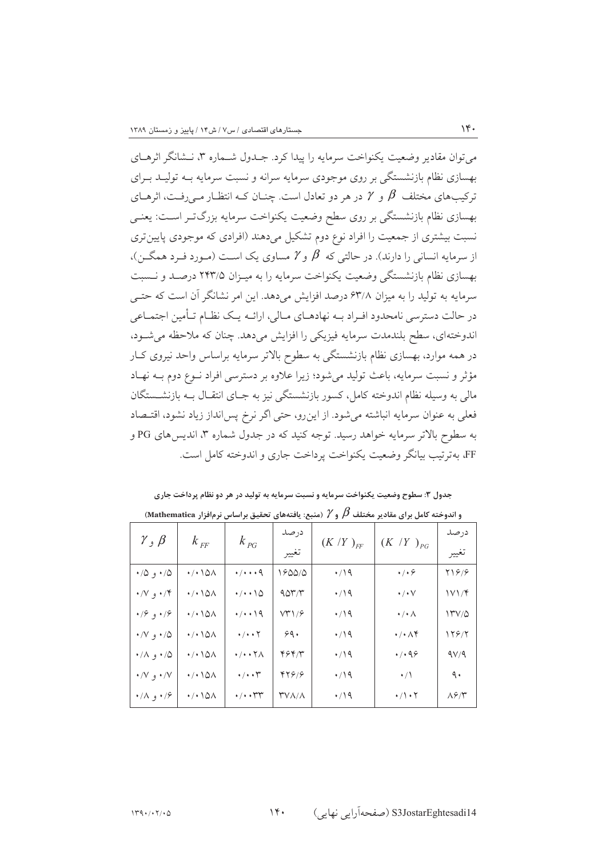م توان مقادیر وضعت یکنواخت سرمایه را بیدا کرد. جیدول شیماره ۳، نیشانگر اثرهیای بهسازی نظام بازنشستگی بر روی موجودی سرمایه سرانه و نسبت سرمایه بــه تولیــد بــرای ترکیبهای مختلف  $\,\beta\,$  و  $\,\gamma\,$  در هر دو تعادل است. چنــان کــه انتظــار مــ رفــت، اثرهــای بهسازی نظام بازنشستگی بر روی سطح وضعیت یکنواخت سرمایه بزرگ تـر اســت: یعنــی نسبت بیشتری از جمعیت را افراد نوع دوم تشکیل میدهند (افرادی که موجودی پایینتری از سرمایه انسانی را دارند). در حالتی که  $\beta$  و  $\gamma$  مساوی یک اسـت (مـورد فـرد همگـن)، بهسازي نظام بازنشستگي وضعيت يكنواخت سرمايه را به ميـزان ٢۴٣/۵ درصـد و نــسبت سرمایه به تولید را به میزان ۶۳/۸ درصد افزایش میدهد. این امر نشانگر آن است که حتــی در حالت دسترسی نامحدود افـراد بــه نهادهــای مــالی، ارائــه یــک نظــام تــأمین اجتمــاعی اندوختهای، سطح بلندمدت سرمایه فیزیکی را افزایش میدهد. چنان که ملاحظه می شود، در همه موارد، بهسازی نظام بازنشستگی به سطوح بالاتر سرمایه براساس واحد نیروی کـار مؤثر و نسبت سرمایه، باعث تولید میشود؛ زیرا علاوه بر دسترسی افراد نـوع دوم بــه نهـاد مالی به وسیله نظام اندوخته کامل، کسور بازنشستگی نیز به جـای انتقــال بــه بازنشــستگان فعلمی به عنوان سرمایه انباشته میشود. از اینرو، حتی اگر نرخ پس|نداز زیاد نشود، اقتـصاد به سطوح بالاتر سرمایه خواهد رسید. توجه کنید که در جدول شماره ۳، اندیس های PG و FF، بهترتيب بيانگر وضعيت يكنواخت يرداخت جاري و اندوخته كامل است.

| و اندوخته کامل برای مقادیر مختلف $\beta$ و $\gamma$ (منبع: یافتههای تحقیق براساس نرم فزار Mathematica) |                                     |                                               |        |                |                                   |       |  |  |
|--------------------------------------------------------------------------------------------------------|-------------------------------------|-----------------------------------------------|--------|----------------|-----------------------------------|-------|--|--|
| $\gamma$ , $\beta$                                                                                     | $k$ <sub>FF</sub>                   | درصد<br>$k_{PG}$<br>$(K/Y)_{FF}$<br>تغيير     |        |                |                                   | در صد |  |  |
|                                                                                                        |                                     |                                               |        | $(K / Y)_{PG}$ | ىعيير                             |       |  |  |
| ۰/۵ و ۰/۵                                                                                              | $\cdot$ / $\cdot$ \ $\Delta\Lambda$ | $\cdot$ / $\cdot$ $\cdot$ 9                   | 1600/0 | $\cdot$ /19    | $\cdot/\cdot$ $\varphi$           | 21618 |  |  |
| ۰/۴ و ۰/۷                                                                                              | $\cdot$ / $\cdot$ \QA               | $\cdot/\cdot\cdot\setminus\vartriangle$       | 907/T  | $\cdot/19$     | $\cdot/\cdot$ $\vee$              | ۱۷۱/۴ |  |  |
| ۰/۶ و $\sqrt{2}$                                                                                       | $\cdot$ / $\cdot$ \ $\circ$ \       | $\cdot/\cdot\cdot$ 19                         | VT1/5  | $\cdot$ /19    | $\cdot/\cdot$ $\wedge$            | ۱۳۷/۵ |  |  |
| ۰/۷ و ۰/۷                                                                                              | $\cdot$ / $\cdot$ \QA               | $\cdot$ / $\cdot$ $\cdot$ $\cdot$             | 99.    | $\cdot$ /19    | $\cdot/\cdot \wedge \mathfrak{f}$ | ۱۲۶/۲ |  |  |
| ۰/۸ و ۰/۸                                                                                              | $\cdot$ / $\cdot$ \QA               | $\cdot$ / $\cdot$ $\cdot$ $\uparrow$ $\wedge$ | ۴۶۴/۳  | $\cdot$ /19    | $\cdot$ / $\cdot$ 98              | 9V/9  |  |  |
| ۰/۷ و ۰/۷                                                                                              | ۱۵۸۰۰۰                              | $\cdot/\cdot\cdot \Upsilon$                   | 47818  | $\cdot$ /19    | $\cdot/$                          | ٩٠    |  |  |
| ۰/۸ و ۰/۸                                                                                              | ۱۵۸۰۰/۰                             | $\cdot/\cdot\cdot$ rr                         | ۳۷۸/۸  | ۰/۱۹           | $\cdot/\rangle \cdot \gamma$      | ۸۶۴   |  |  |

 $14.$ 

.<br>جدول ۳: سطوح وضعیت یکنواخت سرمایه و نسبت سرمایه به تولید در هر دو نظام پرداخت جاری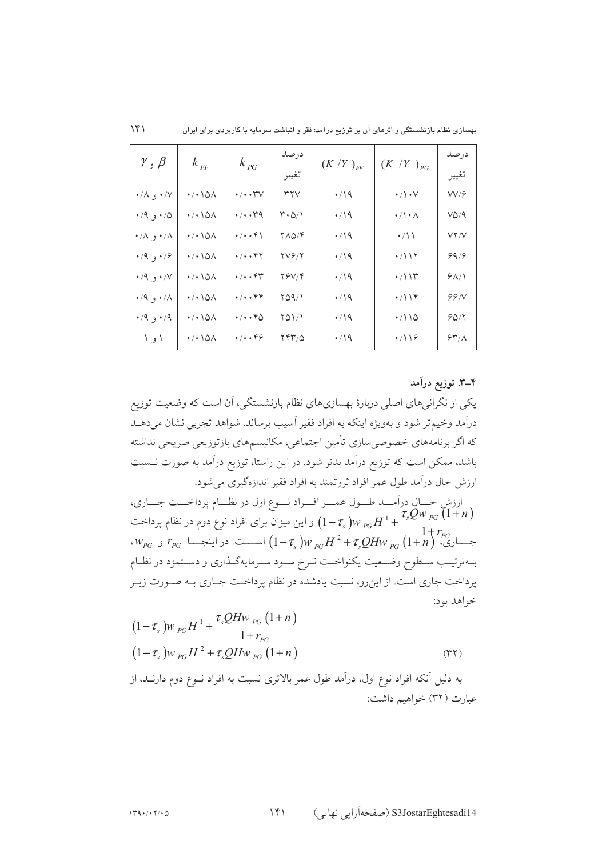| $\gamma$ , $\beta$            | $k$ <sub>FF</sub>                   | $k_{PG}$                        | در صد<br>تغيير                         | $(K/Y)_{FF}$ | $(K/Y)_{PG}$         | در صد<br>تغيير |
|-------------------------------|-------------------------------------|---------------------------------|----------------------------------------|--------------|----------------------|----------------|
|                               |                                     |                                 |                                        |              |                      |                |
| ۰/۸ و ۰/۸                     | $\cdot$ / $\cdot$ \ $\circ$         | $\cdot/\cdot\cdot$ TV           | ٣٢V                                    | $\cdot$ /19  | $\cdot/\cdot$ $\vee$ | VV/9           |
| ۰/۹ و $\cdot$ ۰               | $\cdot$ / $\cdot$ \ $\circ$         | $\cdot$ / $\cdot$ $\cdot$ $4$   | $\mathsf{r}\cdot\mathsf{a}/\mathsf{N}$ | $\cdot$ /19  | $\cdot/\cdot \wedge$ | VQ/A           |
| $\cdot/\Lambda$ و $\Lambda$   | $\cdot$ / $\cdot$ \ $\circ$         | $\cdot/\cdot\cdot$ $\uparrow$ \ | 710/F                                  | $\cdot$ /19  | $\cdot$ / \ \        | VY/V           |
| $\cdot$ /9 و ۱۶/۰             | $\cdot$ / $\cdot$ \ $\circ$         | ۰/۰۰۴۲                          | <b>TVG/T</b>                           | $\cdot$ /19  | $\cdot$ /\\Y         | 99/9           |
| $\cdot$ /9 $\cdot$ /V         | $\cdot$ / $\cdot$ \ $\Delta\Lambda$ | $\cdot/\cdot\cdot$ ۴۳           | 78V/F                                  | $\cdot$ /19  | $\cdot$ /\\\         | $9\Lambda/1$   |
| $\cdot$ /9 $\cdot$ / $\wedge$ | $\cdot$ / $\cdot$ \ $\circ$         | $\cdot/\cdot\cdot$ ۴۴           | 709/1                                  | $\cdot$ /19  | $\cdot/119$          | 99/N           |
| ۰/۹ و ۰/۹                     | $\cdot$ / $\cdot$ \ $\circ$         | $\cdot/\cdot\cdot$ ۴۵           | 701/1                                  | $\cdot$ /19  | $\cdot$ /110         | 50/7           |
| ا و ا                         | $\cdot$ / $\cdot$ \ $\circ$         | $\cdot$ / $\cdot$ $\cdot$ ۴۶    | 74710                                  | $\cdot$ /19  | $\cdot$ /116         | 54/1           |

بهسازی نظام بازنشستگی و اثرهای آن بر توزیع درآمد: فقر و انباشت سرمایه با کاربردی برای ایران

۴\_۳. توزیع درآمد

یکی از نگرانیهای اصلی دربارهٔ بهسازیهای نظام بازنشستگی، آن است که وضعیت توزیع درآمد وخیم تر شود و بهویژه اینکه به افراد فقیر آسیب برساند. شواهد تجربی نشان میدهـد که اگر برنامههای خصوصی سازی تأمین اجتماعی، مکانیسمهای بازتوزیعی صریحی نداشته باشد، ممکن است که توزیع درآمد بدتر شود. در این راستا، توزیع درآمد به صورت نــسبت ارزش حال درآمد طول عمر افراد ثروتمند به افراد فقير اندازهگيري مي شود. ارزشِ حــالِ درآمــد طــول عمــر افــراد نــوع اول در نظــام پرداخــت جــاري، و این میزان برای افراد نوع دوم در نظام پرداخت  $(1-\tau_s)w_{PG}H^1+\frac{\tau_sQw_{PG}(1+n)}{1-\tau_s}$  $\begin{equation} \begin{aligned} \mathcal{C}_{PG} \sim \mathcal{C}_{PG} \end{aligned} \end{equation}$ جساری،  $r_{PG} \frac{1 + r_{PG}}{1 - r_{s}}$  اسست. در اینجسا  $\frac{1 + r_{PG}}{1 - r_{s}}$  و بمهترتيب سطوح وضعيت يكنواخمت نمرخ سمود سمرمايه گذاري و دستمزد در نظام پرداخت جاری است. از اینرو، نسبت یادشده در نظام پرداخـت جـاری بـه صـورت زیـر خواهد بود:  $\overline{O}$   $\overline{I}$   $\overline{I}$   $\overline{I}$   $\overline{I}$   $\overline{I}$ 

$$
(1 - \tau_s) w_{PG} H^1 + \frac{\tau_s Q H w_{PG} (1 + n)}{1 + r_{PG}}
$$
  
(1 - \tau\_s) w\_{PG} H^2 + \tau\_s Q H w\_{PG} (1 + n) (55

به دلیل أنکه افراد نوع اول، درآمد طول عمر بالاتری نسبت به افراد نــوع دوم دارنــد، از عبارت (٣٢) خواهيم داشت:

 $\mathcal{N}$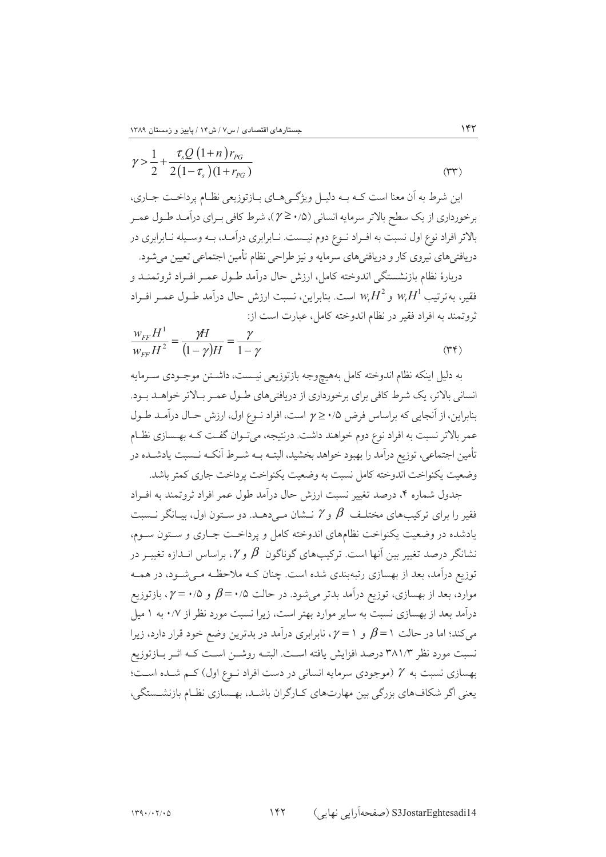$$
\gamma > \frac{1}{2} + \frac{\tau_s Q (1+n) r_{PG}}{2 (1 - \tau_s) (1 + r_{PG})}
$$
\n<sup>(TT)</sup>

اين شرط به اَن معنا است كـه بــه دليـل ويژگــيهــاي بــازتوزيعي نظــام پرداخــت جــاري، برخورداري از يک سطح بالاتر سرمايه انساني (۱٫۵ ≤ γ)، شرط کافي بـراي درآمـد طـول عمـر بالاتر افراد نوع اول نسبت به افـراد نـوع دوم نيـست. نـابرابري درآمـد، بـه وسـيله نـابرابري در دریافتیهای نیروی کار و دریافتیهای سرمایه و نیز طراحی نظام تأمین اجتماعی تعیین میشود. دربارهٔ نظام بازنشستگی اندوخته کامل، ارزش حال درآمد طـول عمـر افـراد ثروتمنــد و فقير، بهترتيب  $w_tH^1$  و $w_tH^2$  است. بنابراين، نسبت ارزش حال درآمد طــول عمــر افــراد ثروتمند به افراد فقیر در نظام اندوخته کامل، عبارت است از:

$$
\frac{w_{FF}H^1}{w_{FF}H^2} = \frac{\gamma H}{(1-\gamma)H} = \frac{\gamma}{1-\gamma}
$$
\n
$$
\tag{Y*}
$$

به دلیل اینکه نظام اندوخته کامل بههیچوجه بازتوزیعی نیـست، داشــتن موجــودی ســرمایه .<br>انسانی بالاتر، یک شرط کافی برای برخورداری از دریافتی های طبول عمیر سالاتر خواهید سود. بنابراین، از آنجایی که براساس فرض ۰/۵ ≤ 1 است، افراد نـوع اول، ارزش حـال درآمـد طـول عمر بالاتر نسبت به افراد نوع دوم خواهند داشت. درنتیجه، می تـوان گفـت کـه بهـسازی نظـام تأمین اجتماعی، توزیع درآمد را بهبود خواهد بخشید، البتــه بــه شــرط آنکــه نــسبت یادشــده در وضعت یکنواخت اندوخته کامل نسبت به وضعیت یکنواخت برداخت جاری کمتر پاشد.

جدول شماره ۴، درصد تغییر نسبت ارزش حال درآمد طول عمر افراد ثروتمند به افـراد فقیر را برای ترکیبهای مختلـف  $\,\beta\,$  و  $\gamma$  نــشان مــی(دهــد. دو ســتون اول، بیــانگر نــسبت یادشده در وضعیت یکنواخت نظامهای اندوخته کامل و پرداخـت جـاری و ســتون ســوم، نشانگر درصد تغییر بین آنها است. ترکیبهای گوناگون  $\beta$  و  $\ell$ ، براساس انــدازه تغییــر در توزیع درآمد، بعد از بهسازی رتبهبندی شده است. چنان کـه ملاحظـه مـی شـود، در همـه موارد، بعد از بهسازی، توزیع درآمد بدتر میشود. در حالت ۰/۵+ $\beta$  و ۰/۵+ بازتوزیع درآمد بعد از بهسازی نسبت به سایر موارد بهتر است، زیرا نسبت مورد نظر از ۰/۷ به ۱ میل می کند؛ اما در حالت ۱ =  $\beta$  و ۱ = ۰٪ نابرابری درآمد در بدترین وضع خود قرار دارد، زیرا نسبت مورد نظر ۳۸۱/۳ درصد افزایش یافته اسـت. البتــه روشــن اســت کــه اثــر بــازتوزیع بهسازی نسبت به Y (موجودی سرمایه انسانی در دست افراد نـوع اول) کـم شـده اسـت؛ یعنی اگر شکافهای بزرگی بین مهارتهای کیارگران باشید، بهسپازی نظیام بازنشستگی،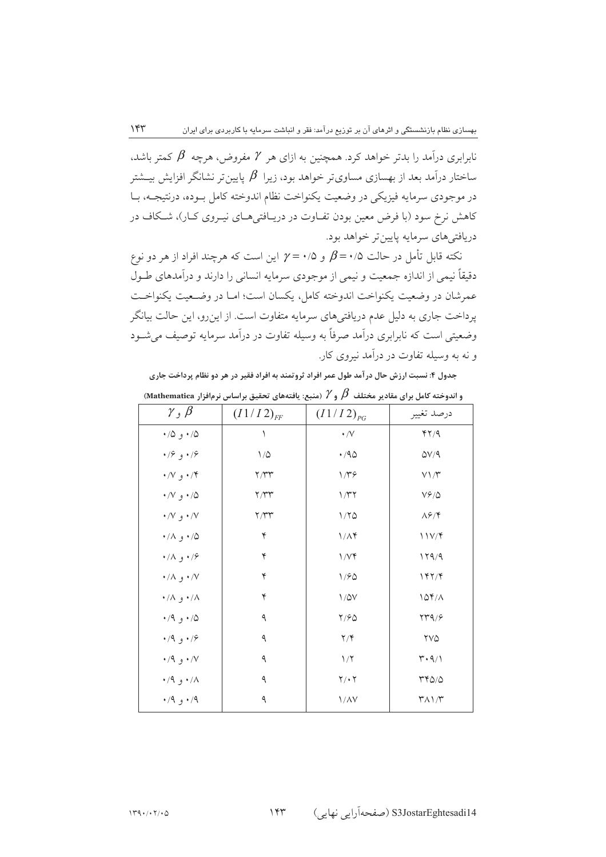نابرابری درآمد را بدتر خواهد کرد. همچنین به ازای هر  $\mathcal Y$  مفروض، هرچه  $\beta$  کمتر باشد، ساختار درآمد بعد از بهسازی مساویتر خواهد بود، زیرا  $\,\beta\,$  یایین تر نشانگر افزایش بیـشتر در موجودي سرمايه فيزيكي در وضعيت يكنواخت نظام اندوخته كامل بـوده، درنتيجــه، بــا کاهش نرخ سود (با فرض معین بودن تفـاوت در دریـافتی هـای نیـروی کـار)، شـکاف در دريافتي هاي سرمايه پايينتر خواهد بود.

نکته قابل تأمل در حالت ۰/۵ ه $\beta = \gamma \circ \gamma = \gamma$  این است که هرچند افراد از هر دو نوع دقیقاً نیمی از اندازه جمعیت و نیمی از موجودی سرمایه انسانی را دارند و درآمدهای طـول عمرشان در وضعيت يكنواخت اندوخته كامل، يكسان است؛ امـا در وضـعيت يكنواخـت پرداخت جاری به دلیل عدم دریافتیهای سرمایه متفاوت است. از اینرو، این حالت بیانگر وضعیتی است که نابرابری درآمد صرفاً به وسیله تفاوت در درآمد سرمایه توصیف می شـود و نه به وسیله تفاوت در درآمد نیروی کار.

.<br>جدول ۴: نسبت ارزش حال در آمد طول عمر افراد ثروتمند به افراد فقیر در هر دو نظام پرداخت جاری باندوخته کامل برای مقادیر مختلف  $\,\beta\,$  و  $\gamma$  (منبع: یافتههای تحقیق براساس نرم|فزار Mathematica)

| $\gamma$ , $\beta$ | $(I1/I2)_{FF}$         | $(I1/I2)_{PG}$          | درصد تغيير                  |
|--------------------|------------------------|-------------------------|-----------------------------|
| ۰/۵ و ۰/۵          |                        | $\cdot$ /V              | YY/9                        |
| ۰/۶ و ۰/۶          | $\backslash/\triangle$ | $\cdot$ /90             | $\Delta V / 9$              |
| ۰/۴ و ۰/۷          | Y/YY                   | $1/\mathbf{r}$ ۶        | $V\setminus\wedge^\omega$   |
| ۰/۷ و ۰/۷          | Y/YY                   | 1/T                     | $V \hat{r}/\hat{\omega}$    |
| ۰/۷ و ۰/۷          | Y/YY                   | 1/70                    | $\Lambda$ ۶/۴               |
| ۰/۸ و ۰/۸          | ۴                      | $1/\Lambda f$           | 11V/F                       |
| ۰/۸ و ۰/۸          | $\blacktriangledown$   | 1/Vf                    | 179/9                       |
| ۰/۸ و ۰/۸          | ۴                      | $1/80$                  | 147/6                       |
| ۰/۸ و ۰/۸          | ۴                      | $1/\Delta V$            | 104/A                       |
| ۰/۹ و ۰/۹          | ٩                      | $Y/\mathcal{F}\Delta$   | YY9/5                       |
| ۰/۹ و ۰/۹          | ٩                      | $\mathbf{Y}/\mathbf{Y}$ | $\forall V \triangle$       |
| ۰/۹ و ۰/۹          | ٩                      | 1/7                     | $\upmu \cdot \upmu / \upmu$ |
| ۰/۹ و ۰/۹          | ٩                      | $Y \cdot Y$             | $YY\Delta/\Delta$           |
| ۰/۹ و $\cdot$ ۰    | ٩                      | $1/\lambda V$           | $\Upsilon \wedge \Upsilon$  |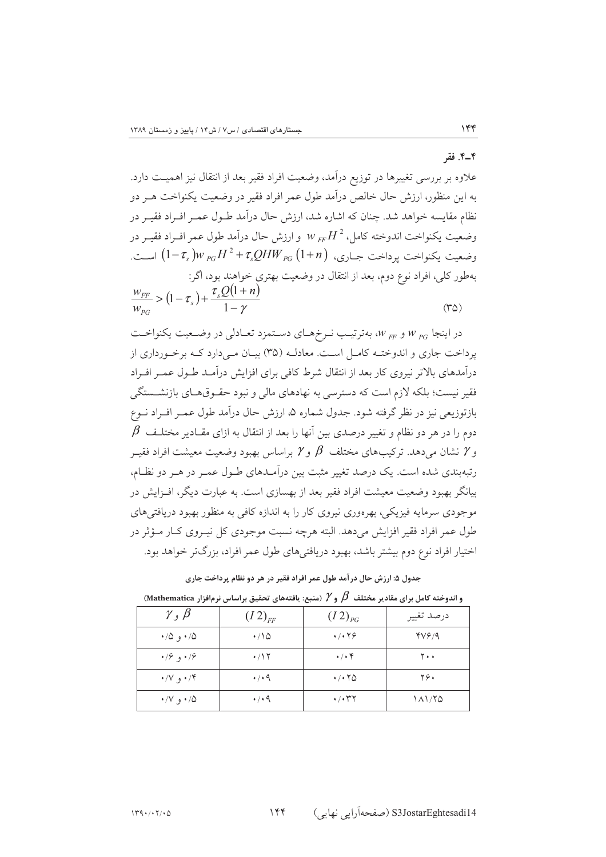#### ۴\_۴. فقه

 $156$ 

علاوه بر بررسی تغییرها در توزیع درآمد، وضعیت افراد فقیر بعد از انتقال نیز اهمیــت دارد. به این منظور، ارزش حال خالص درآمد طول عمر افراد فقیر در وضعیت یکنواخت هــر دو نظام مقایسه خواهد شد. چنان که اشاره شد، ارزش حال درآمد طــول عمــر افــراد فقيــر در وضعيت يكنواخت اندوخته كامل،  $W_{EF}H^{\,2}$  و ارزش حال درآمد طول عمر افـراد فقيــر در وضعيت يكنواخت پرداخت جــاري،  $\mathcal{H}W_{PG}(1+n) \equiv (1-\tau_s)w_{PG}H^2 + \tau_s\mathcal{Q}H W_{PG}$  اســت. بهطور کلی، افراد نوع دوم، بعد از انتقال در وضعیت بهتری خواهند بود، اگر:<br>. in<br>List

$$
\frac{w_{FF}}{w_{PG}} > (1 - \tau_s) + \frac{\tau_s Q (1 + n)}{1 - \gamma}
$$
\n
$$
\tag{80}
$$

در اینجا  $w_{\rm\scriptscriptstyle PG}$  و  $w_{\rm\scriptscriptstyle FP}$ ، بهترتیب نـرخهـای دسـتمزد تعـادلی در وضـعیت یکنواخـت پرداخت جاری و اندوخت کامل است. معادلـه (۳۵) بیـان مـیدارد کـه برخـورداری از درآمدهای بالاتر نیروی کار بعد از انتقال شرط کافی برای افزایش درآمـد طـول عمــر افــراد فقیر نیست؛ بلکه لازم است که دسترسی به نهادهای مالی و نبود حقـوق۵حـای بازنشــستگی بازتوزیعی نیز در نظر گرفته شود. جدول شماره ۵، ارزش حال درآمد طول عمـر افـراد نــوع  $\,\beta\,$  دوم را در هر دو نظام و تغییر درصدی بین آنها را بعد از انتقال به ازای مقــادیر مختلـف و  $\gamma$  نشان میردهد. ترکیبهای مختلف  $\,\beta\,$  و  $\gamma$  براساس بهبود وضعیت معیشت افراد فقیــر رتبهبندی شده است. یک درصد تغییر مثبت بین درآمـدهای طـول عمـر در هـر دو نظـام، بیانگر بهبود وضعیت معیشت افراد فقیر بعد از بهسازی است. به عبارت دیگر، افــزایش در موجودی سرمایه فیزیکی، بهرهوری نیروی کار را به اندازه کافی به منظور بهبود دریافتی های طول عمر افراد فقير افزايش مي دهد. البته هرچه نسبت موجودي كل نيــروي كــار مــؤثر در اختیار افراد نوع دوم بیشتر باشد، بهبود دریافتیهای طول عمر افراد، بزرگتر خواهد بود.

.<br>جدول ۵: ارزش حال در آمد طول عمر افراد فقیر در هر دو نظام پرداخت جاری

| $\gamma$ , $\beta$    | $(I2)_{FF}$ | $(I2)_{PG}$                             | درصد تغيير |
|-----------------------|-------------|-----------------------------------------|------------|
| ۰/۵ و $\cdot$ ۰       | $\cdot$ 10  | 4/179                                   | YV9/9      |
| $\cdot$ /۶ و ۱۶       | $\cdot$ /17 | $\cdot$ / $\cdot$ $\cdot$               | ۲۰۰        |
| ۰/۷ و $\vee$ ۰        | 4/49        | $\cdot$ / $\cdot$ $\uparrow$ $\circ$    | ۲۶۰        |
| $\cdot$ /V $\cdot$ /0 | 4/49        | $\cdot$ / $\cdot$ $\uparrow$ $\uparrow$ | 181/70     |

و اندوخته کامل برای مقادیر مختلف  $\,\beta\,$  و  $\gamma$  (منبع: یافتههای تحقیق براساس نرم|فزار Mathematica)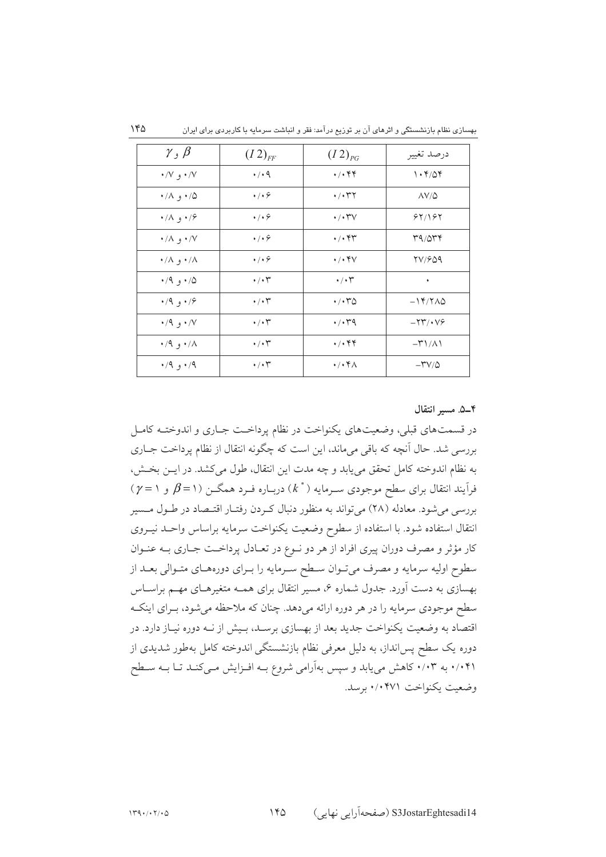| بهسازی نظام بازنشستگی و اثرهای آن بر توزیع درآمد: فقر و انباشت سرمایه با کاربردی برای ایران |  |  |  |
|---------------------------------------------------------------------------------------------|--|--|--|
|---------------------------------------------------------------------------------------------|--|--|--|

| $\gamma$ , $\beta$    | $(I2)_{FF}$                  | $(I2)_{PG}$                             | درصد تغيير          |
|-----------------------|------------------------------|-----------------------------------------|---------------------|
| $\cdot$ /V $\cdot$ /V | $\cdot$ / $\cdot$ 9          | $\cdot/\cdot$ ۴۴                        | 1.4704              |
| ۰/۸ و ۰/۸             | $\cdot$ / $\cdot$ $\circ$    | $\cdot$ / $\cdot$ $\uparrow$ $\uparrow$ | $\Delta V/\Delta$   |
| ۰/۸ و ۰/۸             | $\cdot$ / $\cdot$ $\circ$    | $\cdot$ / $\cdot$ ۳۷                    | 87/187              |
| ۰/۸ و ۰/۸             | $\cdot$ / $\cdot$ $\circ$    | $\cdot/\cdot$ ۴۳                        | 79/054              |
| ۰/۸ و ۰/۸             | $\cdot$ / $\cdot$ $\circ$    | $\cdot$ / $\cdot$ $\uparrow$ $\vee$     | <b>TV/SQ9</b>       |
| ۰/۹ و $\cdot$ ۰       | $\cdot$ / $\cdot$ r          | $\cdot/\cdot$ $\check{\ }$              | ٠                   |
| $\cdot$ /9 و ۱۶       | $\cdot/\cdot$ $\check{\tau}$ | $\cdot$ / $\cdot$ $\sim$ $\infty$       | $-14/7\angle 0$     |
| $\cdot$ /۹ و ۰/۷      | $\cdot/\cdot$ $\tau$         | $\cdot$ / $\cdot$ $4$                   | $-YY'$              |
| $\cdot$ /۹ و ۰/۸      | $\cdot$ / $\cdot$ r          | $\cdot/\cdot$ ۴۴                        | $-\Gamma$ $\Lambda$ |
| $\cdot$ /9 و \,       | $\cdot/\cdot$ $\tau$         | $\cdot/\cdot$ $4\pi$                    | $-YV/\Delta$        |

۰۴-۵. مسير انتقال

در قسمتهای قبلی، وضعیتهای یکنواخت در نظام پرداخت جـاری و اندوختـه کامـل بررسی شد. حال آنچه که باقی میماند، این است که چگونه انتقال از نظام پرداخت جـاری به نظام اندوخته كامل تحقق مى يابد و چه مدت اين انتقال، طول مى كشد. در ايــن بخــش،  $\gamma = \gamma$ فرآیند انتقال برای سطح موجودی سـرمایه ( \* )) دربـاره فـرد همگــن (۱= $\beta$  و ۱ = $\gamma$ بررسی می شود. معادله (۲۸) می تواند به منظور دنبال کـردن رفتـار اقتـصاد در طـول مـسير انتقال استفاده شود. با استفاده از سطوح وضعیت یکنواخت سرمایه براساس واحــد نیــروی كار مؤثر و مصرف دوران پيري افراد از هر دو نـوع در تعـادل پرداخـت جـاري بـه عنـوان سطوح اولیه سرمایه و مصرف میتوان سطح سـرمایه را بـرای دورههـای متـوالی بعـد از بهسازی به دست آورد. جدول شماره ۶، مسیر انتقال برای همـه متغیرهـای مهـم براســاس سطح موجودی سرمایه را در هر دوره ارائه میدهد. چنان که ملاحظه میشود، بـرای اینکـه اقتصاد به وضعیت یکنواخت جدید بعد از بهسازی برسـد، بـیش از نــه دوره نیــاز دارد. در دوره یک سطح پس|نداز، به دلیل معرفی نظام بازنشستگی اندوخته کامل بهطور شدیدی از ۰/۰۴۱ به ۰/۰۳ کاهش می یابد و سپس بهآرامی شروع بـه افـزایش مـیکنـد تـا بـه سـطح وضعت یکنواخت ۰/۰۴۷۱ برسد.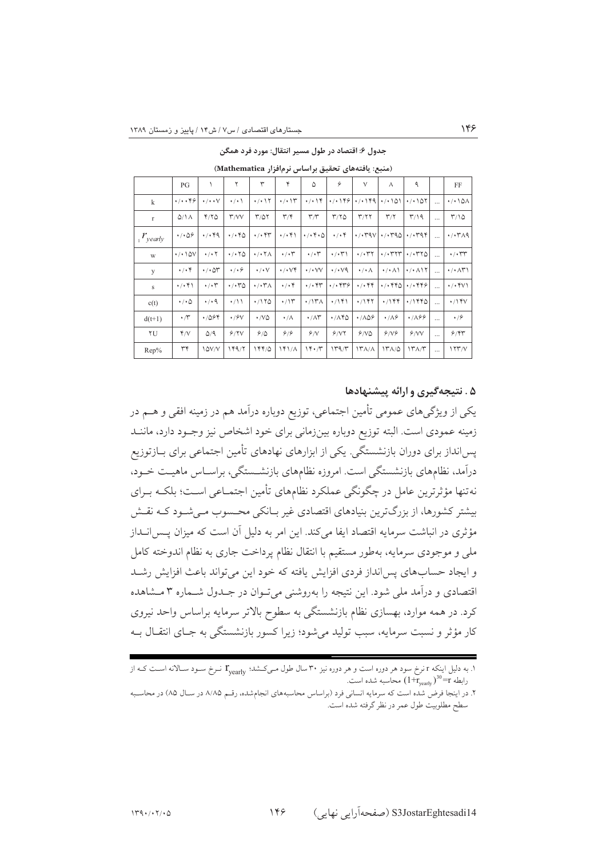جدول ۶: اقتصاد در طول مسیر انتقال: مورد فرد همگن

(منبع: یافتههای تحقیق براساس نرمافزار Mathematica)

|                     | PG                                |                                   |                                      |                                       | ۴                             | ۵                                              | ۶                            | $\vee$                                  | ٨                                          | ٩                                          |          | FF                                  |
|---------------------|-----------------------------------|-----------------------------------|--------------------------------------|---------------------------------------|-------------------------------|------------------------------------------------|------------------------------|-----------------------------------------|--------------------------------------------|--------------------------------------------|----------|-------------------------------------|
| k                   | $\cdot/\cdot\cdot$ ۴۶             | $\cdot/\cdot\cdot$ $\vee$         | $\cdot$ / $\cdot$ \                  | $\cdot$ / $\cdot$ \ $\Upsilon$        | $\cdot$ / $\cdot$ \r          | $\cdot/\cdot$ \۴                               | 4/1199                       | $\cdot$ / $\cdot$ / ۴۹                  | ۱۵۱ ۱۰/۰                                   | $\cdot$ / $\cdot$ $\cdot$ $\circ$ $\circ$  | $\cdots$ | $\cdot$ / $\cdot$ \ $\circ$         |
| $\mathbf r$         | $Q/\Lambda$                       | 4/20                              | $\mathsf{r}/\mathsf{v}\mathsf{v}$    | $T/\Delta Y$                          | $\mathbf{r}/\mathbf{r}$       | $\mathsf{r}/\mathsf{r}$                        | T/TQ                         | $\mathbf{r}/\mathbf{r}$                 | $\mathsf{r}_\mathsf{A}$                    | $\mathsf{r}/\mathsf{1}\mathsf{q}$          |          | $T/\Omega$                          |
| $r_{\text{yearly}}$ | $\cdot$ / $\cdot$ $\circ$ $\circ$ | $\cdot$ / $\cdot$ ۴۹              | $\cdot$ / $\cdot$ $\cdot$ $\circ$    | $\cdot$ / $\cdot$ $\uparrow\uparrow$  | $\cdot/\cdot$ ۴۱              | $\cdot/\cdot$ $\uparrow$ $\cdot$ $\varnothing$ | $\cdot$ / $\cdot$ $\uparrow$ | $\cdot$ / $\cdot$ ravl                  | $\cdot$ / $\cdot$ ras                      | $\cdot$ / $\cdot$ $44$                     | $\cdots$ | $\cdot$ $\cdot$ $\tau$ $\land$ 9    |
| W                   | $\cdot$ / $\cdot$ \ $\Delta V$    | $\cdot$ / $\cdot$ $\cdot$         | $\cdot$ / $\cdot$ $\uparrow$ $\circ$ | $\cdot$ / $\cdot$ $\uparrow$ $\wedge$ | $\cdot$ / $\cdot$ r           | $\cdot/\cdot$ $\check{r}$                      | $\cdot/\cdot\tau$            | $\cdot$ / $\cdot$ $\uparrow$ $\uparrow$ | $\cdot$ / $\cdot$ ۳۲۳                      | $\cdot$ / $\cdot$ $\cdot$ $\cdot$ $\cdot$  |          | $\cdot/\cdot$ rr                    |
| y                   | $\cdot/\cdot$ ۴                   | $\cdot$ / $\cdot$ $\circ$ $\cdot$ | $\cdot/\cdot$ ۶                      | $\cdot$ / $\cdot$ $\vee$              | $\cdot/\cdot\vee\mathfrak{f}$ | $\cdot$ / $\cdot$ VV                           | $\cdot$ / $\cdot$ $\vee$ 9   | $\cdot/\cdot \wedge$                    | $\cdot$ / $\cdot$ $\wedge$ \               | $\cdot$ / $\cdot$ $\wedge$ $\wedge$ $\vee$ | $\cdots$ | $\cdot/\cdot\wedge\uparrow\uparrow$ |
| S                   | $\cdot/\cdot$ ۴۱                  | $\cdot$ / $\cdot$ r               | $\cdot$ / $\cdot$ $\cdot$ $\circ$    | $\cdot$ / $\cdot$ $\uparrow$ $\wedge$ | $\cdot/\cdot$ ۴               | $\cdot$ / $\cdot$ $\uparrow\uparrow$           | $\cdot$ / $\cdot$ $559$      | $\cdot$ / $\cdot$ $\ast$ $\ast$         | $\cdot$ / $\cdot$ $\times$ $\cdot$ $\cdot$ | 4/4899                                     |          | $\cdot$ / $\cdot$ ۴ $V$             |
| c(t)                | $\cdot/\cdot$ ۵                   | $\cdot$ / $\cdot$ 9               | $\cdot/11$                           | 4/170                                 | $\cdot$ /۱۳                   | $\cdot$ /۱۳ $\wedge$                           | $\cdot$ /۱۴۱                 | $\cdot$ /۱۴۲                            | 4/188                                      | ۱۱۴۴۵                                      | $\cdots$ | $\cdot$ /۱۴۷                        |
| $d(t+1)$            | $\cdot$ /۳                        | $\cdot$ /064                      | $\cdot$ / $\sqrt{2}V$                | $\cdot$ /VQ                           | ۰/۸                           | $\cdot/\wedge\breve{r}$                        | ۱/۸۴۵                        | $\cdot$ / $\wedge$ $\varphi$            | $\cdot$ / $\wedge$ $\circ$                 | $\cdot$ / $\wedge$ 99                      |          | $\cdot$ / $\hat{z}$                 |
| ٢U                  | Y/V                               | $\Delta$ /9                       | 9/7V                                 | ۶/۵                                   | 9/9                           | 9/1                                            | 9/17                         | 9/10                                    | 8/19                                       | 9/VV                                       |          | 9/84                                |
| Rep%                | ٣۴                                | I QV/V                            | 149/7                                | ۱۴۴/۵                                 | 141/A                         | 14.7                                           | 149/                         | $\frac{1}{\gamma}$                      | $17\lambda/\Delta$                         | ۱۳۸/۳                                      |          | $\frac{177}{V}$                     |

#### ۵ . نتیجهگیری و ارائه پیشنهادها

 $155$ 

یکی از ویژگیهای عمومی تأمین اجتماعی، توزیع دوباره درآمد هم در زمینه افقی و هــم در زمينه عمودي است. البته توزيع دوباره بينزرماني براي خود اشخاص نيز وجـود دارد، ماننــد یسانداز برای دوران بازنشستگی. یکی از ابزارهای نهادهای تأمین اجتماعی برای بــازتوزیع درآمد، نظامهای بازنشستگی است. امروزه نظامهای بازنشسستگی، براسـاس ماهیـت خـود، نه تنها مؤثرترین عامل در چگونگی عملکرد نظامهای تأمین اجتمــاعی اسـت؛ بلکــه بــرای بیشتر کشورها، از بزرگترین بنیادهای اقتصادی غیر بـانکی محـسوب مـیشـود کـه نقـش مؤثری در انباشت سرمایه اقتصاد ایفا میکند. این امر به دلیل آن است که میزان پــس|نــداز ملی و موجودی سرمایه، بهطور مستقیم با انتقال نظام پرداخت جاری به نظام اندوخته کامل و ایجاد حسابهای پس انداز فردی افزایش یافته که خود این می تواند باعث افزایش رشـد اقتصادی و درآمد ملی شود. این نتیجه را بهروشنی میتوان در جـدول شـماره ۳ مـشاهده کرد. در همه موارد، بهسازی نظام بازنشستگی به سطوح بالاتر سرمایه براساس واحد نیروی کار مؤثر و نسبت سرمایه، سبب تولید می شود؛ زیرا کسور بازنشستگی به جبای انتقبال ب

۱. به دلیل اینکه r نرخ سود هر دوره است و هر دوره نیز ۳۰ سال طول مـیکـشد؛  $\Gamma_{\text{yearly}}$  نـرخ سـود سـالانه اسـت کـه از رابطه T=3°(  $1 + r_{\rm{vearly}}$ ) محاسبه شده است.

۲. در اینجا فرض شده است که سرمایه انسانی فرد (براساس محاسبههای انجامشده، رقم ۸/۸۵ در سـال ۸۵) در محاسـبه سطح مطلوبیت طول عمر در نظر گرفته شده است.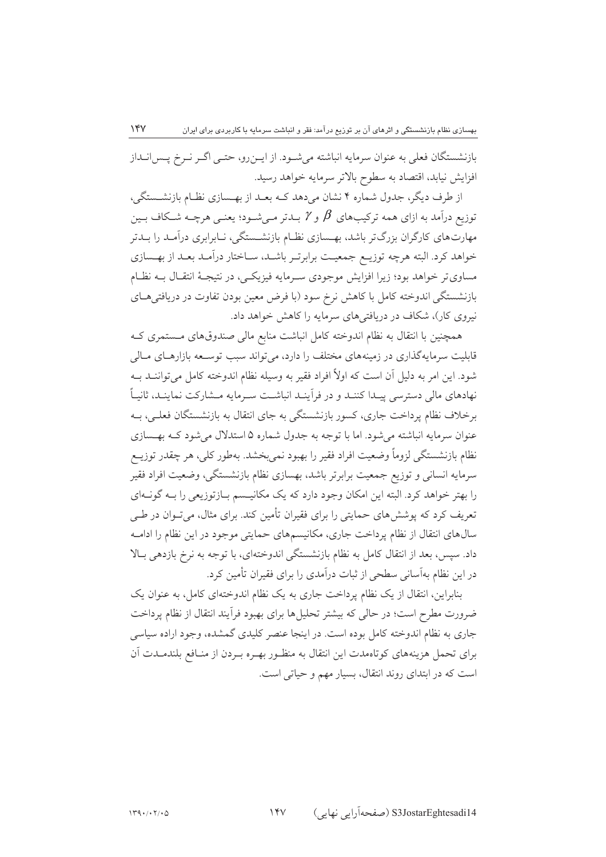بازنشستگان فعلی به عنوان سرمایه انباشته میشود. از ایــن٫و، حتــی اگــر نــرخ پــس|نــداز افزايش نيابد، اقتصاد به سطوح بالاتر سرمايه خواهد رسيد.

از طرف دیگر، جدول شماره ۴ نشان میدهد کـه بعـد از بهـسازی نظـام بازنشـستگی، توزیع درآمد به ازای همه ترکیبهای  $\beta$  و  $\gamma$  بـدتر مـی شـود؛ یعنـی هرچــه شــکاف بـین .<br>مهارت های کارگران بزرگ تر باشد، بهـسازی نظـام بازنشـستگی، نـابرابری درآمـد را بـدتر خواهد کرد. البته هرچه توزیـع جمعیـت برابرتـر باشـد، سـاختار درآمـد بعـد از بهـسازی مساوی تر خواهد بود؛ زیرا افزایش موجودی سـرمایه فیزیکـی، در نتیجـهٔ انتقـال بــه نظـام بازنشستگی اندوخته کامل با کاهش نرخ سود (با فرض معین بودن تفاوت در دریافتی هــای نیروی کار)، شکاف در دریافتر های سرمایه را کاهش خواهد داد.

همچنین با انتقال به نظام اندوخته کامل انباشت منابع مالی صندوقهای مــستمری کــه قابلیت سرمایهگذاری در زمینههای مختلف را دارد، می تواند سبب توســعه بازارهــای مــالی شود. این امر به دلیل آن است که اولاً افراد فقیر به وسیله نظام اندوخته کامل می تواننید ب نهادهای مالی دسترسی پیـدا کننـد و در فرآینـد انباشـت سـرمایه مـشارکت نماینـد، ثانیـاً برخلاف نظام پرداخت جاري، كسور بازنشستگي به جاي انتقال به بازنشستگان فعلـي، بــه عنوان سرمايه انباشته مي شود. اما با توجه به جدول شماره ۵ استدلال مي شود كـه بهـسازي نظام بازنشستگی لزوماً وضعیت افراد فقیر را بهبود نمی بخشد. بهطور کلی، هر چقدر توزیــع سرمايه انساني و توزيع جمعيت برابرتر باشد، بهسازي نظام بازنشستگي، وضعيت افراد فقير را بهتر خواهد کرد. البته این امکان وجود دارد که یک مکانیسم بـازتوزیعی را بـه گونـهای تعریف کرد که پوشش های حمایتی را برای فقیران تأمین کند. برای مثال، میتوان در طے سال@ای انتقال از نظام پرداخت جاری، مکانیسمهای حمایتی موجود در این نظام را ادامــه داد. سپس، بعد از انتقال کامل به نظام بازنشستگی اندوختهای، با توجه به نرخ بازدهی بـالا در این نظام بهآسانی سطحی از ثبات درآمدی را برای فقیران تأمین کرد.

بنابراین، انتقال از یک نظام پرداخت جاری به یک نظام اندوختهای کامل، به عنوان یک ضرورت مطرح است؛ در حالي كه بيشتر تحليلها براي بهبود فراّيند انتقال از نظام پرداخت جاری به نظام اندوخته کامل بوده است. در اینجا عنصر کلیدی گمشده، وجود اراده سیاسی برای تحمل هزینههای کوتاهمدت این انتقال به منظـور بهـره بـردن از منـافع بلندمـدت آن است که در ابتدای روند انتقال، بسیار مهم و حیاتی است.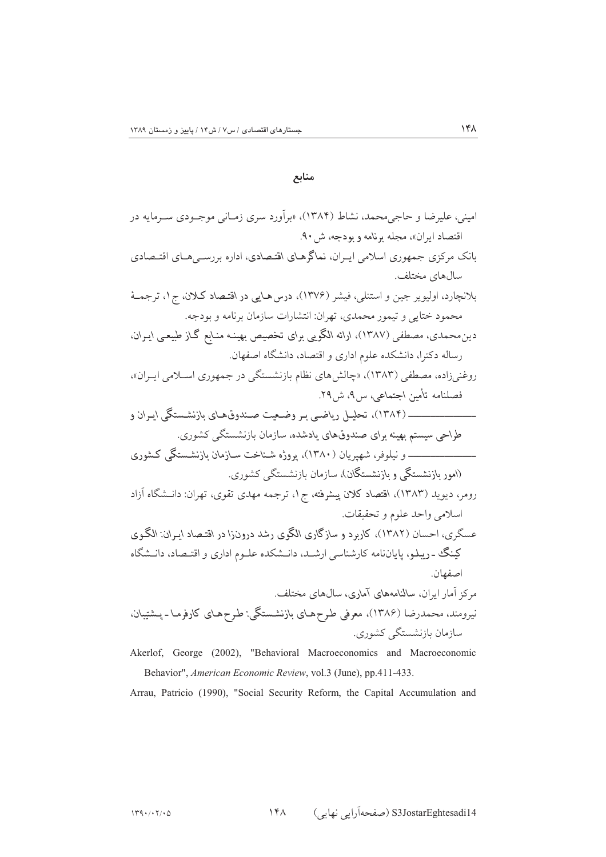منابع

Behavior", American Economic Review, vol.3 (June), pp.411-433.

Arrau, Patricio (1990), "Social Security Reform, the Capital Accumulation and

 $\backslash \mathfrak{r} \wedge$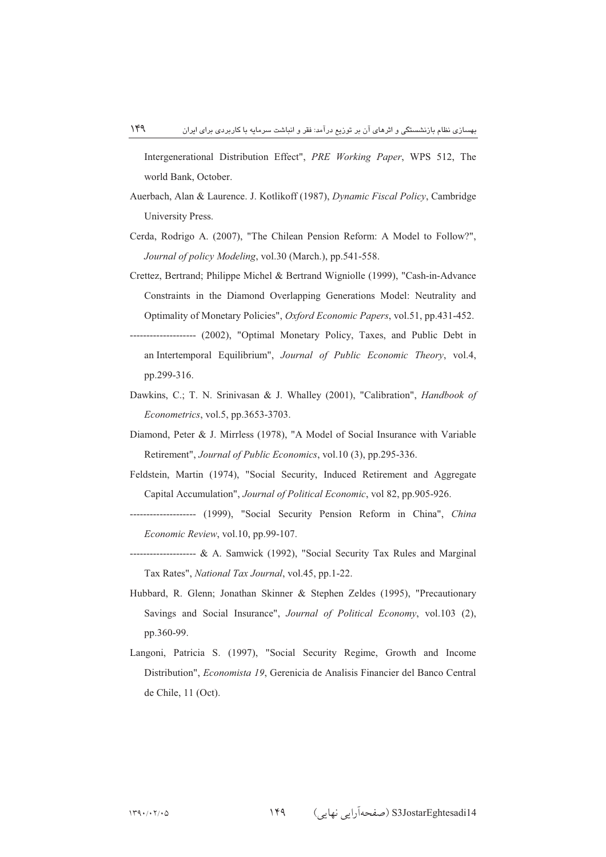Intergenerational Distribution Effect", *PRE Working Paper*, WPS 512, The world Bank, October.

- Auerbach, Alan & Laurence. J. Kotlikoff (1987), *Dynamic Fiscal Policy*, Cambridge University Press.
- Cerda, Rodrigo A. (2007), "The Chilean Pension Reform: A Model to Follow?", *Journal of policy Modeling*, vol.30 (March.), pp.541-558.
- Crettez, Bertrand; Philippe Michel & Bertrand Wigniolle (1999), "Cash-in-Advance Constraints in the Diamond Overlapping Generations Model: Neutrality and Optimality of Monetary Policies", *Oxford Economic Papers*, vol.51, pp.431-452.
- -------------------- (2002), "Optimal Monetary Policy, Taxes, and Public Debt in an Intertemporal Equilibrium", *Journal of Public Economic Theory*, vol.4, pp.299-316.
- Dawkins, C.; T. N. Srinivasan & J. Whalley (2001), "Calibration", *Handbook of Econometrics*, vol.5, pp.3653-3703.
- Diamond, Peter & J. Mirrless (1978), "A Model of Social Insurance with Variable Retirement", *Journal of Public Economics*, vol.10 (3), pp.295-336.
- Feldstein, Martin (1974), "Social Security, Induced Retirement and Aggregate Capital Accumulation", *Journal of Political Economic*, vol 82, pp.905-926.
- -------------------- (1999), "Social Security Pension Reform in China", *China Economic Review*, vol.10, pp.99-107.
- -------------------- & A. Samwick (1992), "Social Security Tax Rules and Marginal Tax Rates", *National Tax Journal*, vol.45, pp.1-22.
- Hubbard, R. Glenn; Jonathan Skinner & Stephen Zeldes (1995), "Precautionary Savings and Social Insurance", *Journal of Political Economy*, vol.103 (2), pp.360-99.
- Langoni, Patricia S. (1997), "Social Security Regime, Growth and Income Distribution", *Economista 19*, Gerenicia de Analisis Financier del Banco Central de Chile, 11 (Oct).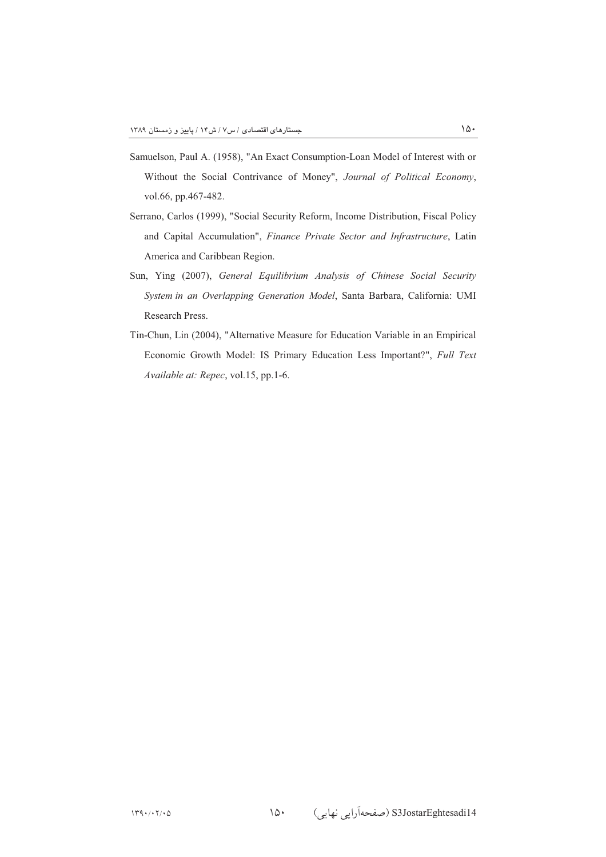- Samuelson, Paul A. (1958), "An Exact Consumption-Loan Model of Interest with or Without the Social Contrivance of Money", *Journal of Political Economy*, vol.66, pp.467-482.
- Serrano, Carlos (1999), "Social Security Reform, Income Distribution, Fiscal Policy and Capital Accumulation", *Finance Private Sector and Infrastructure*, Latin America and Caribbean Region.
- Sun, Ying (2007), *General Equilibrium Analysis of Chinese Social Security System in an Overlapping Generation Model*, Santa Barbara, California: UMI Research Press.
- Tin-Chun, Lin (2004), "Alternative Measure for Education Variable in an Empirical Economic Growth Model: IS Primary Education Less Important?", *Full Text Available at: Repec*, vol.15, pp.1-6.